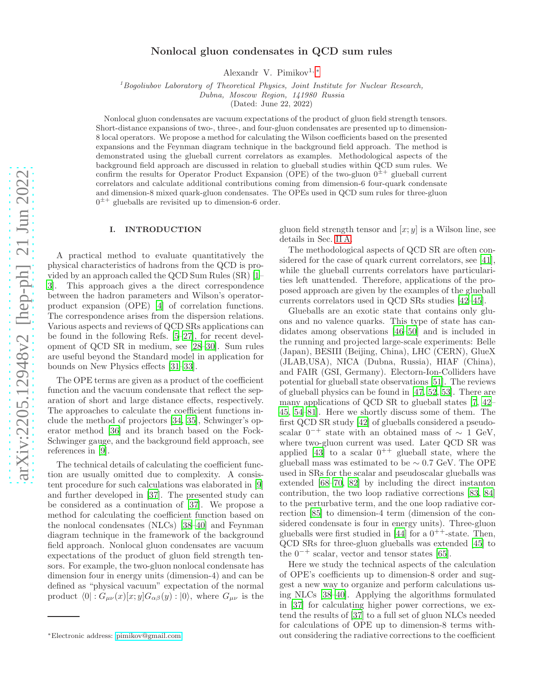# Nonlocal gluon condensates in QCD sum rules

Alexandr V. Pimikov<sup>1, [∗](#page-0-0)</sup>

<sup>1</sup>*Bogoliubov Laboratory of Theoretical Physics, Joint Institute for Nuclear Research,*

*Dubna, Moscow Region, 141980 Russia*

(Dated: June 22, 2022)

Nonlocal gluon condensates are vacuum expectations of the product of gluon field strength tensors. Short-distance expansions of two-, three-, and four-gluon condensates are presented up to dimension-8 local operators. We propose a method for calculating the Wilson coefficients based on the presented expansions and the Feynman diagram technique in the background field approach. The method is demonstrated using the glueball current correlators as examples. Methodological aspects of the background field approach are discussed in relation to glueball studies within QCD sum rules. We confirm the results for Operator Product Expansion (OPE) of the two-gluon  $0^{\pm +}$  glueball current correlators and calculate additional contributions coming from dimension-6 four-quark condensate and dimension-8 mixed quark-gluon condensates. The OPEs used in QCD sum rules for three-gluon  $0^{\pm +}$  glueballs are revisited up to dimension-6 order.

### I. INTRODUCTION

A practical method to evaluate quantitatively the physical characteristics of hadrons from the QCD is provided by an approach called the QCD Sum Rules (SR) [\[1](#page-13-0)– [3](#page-13-1)]. This approach gives a the direct correspondence between the hadron parameters and Wilson's operatorproduct expansion (OPE) [\[4\]](#page-13-2) of correlation functions. The correspondence arises from the dispersion relations. Various aspects and reviews of QCD SRs applications can be found in the following Refs. [\[5](#page-13-3)[–27\]](#page-13-4), for recent development of QCD SR in medium, see [\[28](#page-13-5)[–30\]](#page-14-0). Sum rules are useful beyond the Standard model in application for bounds on New Physics effects [\[31](#page-14-1)[–33\]](#page-14-2).

The OPE terms are given as a product of the coefficient function and the vacuum condensate that reflect the separation of short and large distance effects, respectively. The approaches to calculate the coefficient functions include the method of projectors [\[34,](#page-14-3) [35\]](#page-14-4), Schwinger's operator method [\[36](#page-14-5)] and its branch based on the Fock-Schwinger gauge, and the background field approach, see references in [\[9](#page-13-6)].

The technical details of calculating the coefficient function are usually omitted due to complexity. A consistent procedure for such calculations was elaborated in [\[9](#page-13-6)] and further developed in [\[37](#page-14-6)]. The presented study can be considered as a continuation of [\[37\]](#page-14-6). We propose a method for calculating the coefficient function based on the nonlocal condensates (NLCs) [\[38](#page-14-7)[–40\]](#page-14-8) and Feynman diagram technique in the framework of the background field approach. Nonlocal gluon condensates are vacuum expectations of the product of gluon field strength tensors. For example, the two-gluon nonlocal condensate has dimension four in energy units (dimension-4) and can be defined as "physical vacuum" expectation of the normal product  $\langle 0| : G_{\mu\nu}(x)[x; y]G_{\alpha\beta}(y) : |0\rangle$ , where  $G_{\mu\nu}$  is the

gluon field strength tensor and  $[x; y]$  is a Wilson line, see details in Sec. [II A.](#page-2-0)

The methodological aspects of QCD SR are often considered for the case of quark current correlators, see [\[41\]](#page-14-9), while the glueball currents correlators have particularities left unattended. Therefore, applications of the proposed approach are given by the examples of the glueball currents correlators used in QCD SRs studies [\[42](#page-14-10)[–45](#page-14-11)].

Glueballs are an exotic state that contains only gluons and no valence quarks. This type of state has candidates among observations [\[46](#page-14-12)[–50\]](#page-14-13) and is included in the running and projected large-scale experiments: Belle (Japan), BESIII (Beijing, China), LHC (CERN), GlueX (JLAB,USA), NICA (Dubna, Russia), HIAF (China), and FAIR (GSI, Germany). Electorn-Ion-Colliders have potential for glueball state observations [\[51\]](#page-14-14). The reviews of glueball physics can be found in [\[47,](#page-14-15) [52](#page-14-16), [53\]](#page-14-17). There are many applications of QCD SR to glueball states [\[7,](#page-13-7) [42](#page-14-10)– [45,](#page-14-11) [54](#page-14-18)[–81\]](#page-15-0). Here we shortly discuss some of them. The first QCD SR study [\[42\]](#page-14-10) of glueballs considered a pseudoscalar  $0^{-+}$  state with an obtained mass of  $\sim 1$  GeV, where two-gluon current was used. Later QCD SR was applied [\[43](#page-14-19)] to a scalar  $0^{++}$  glueball state, where the glueball mass was estimated to be  $\sim 0.7$  GeV. The OPE used in SRs for the scalar and pseudoscalar glueballs was extended [\[68](#page-14-20)[–70,](#page-15-1) [82\]](#page-15-2) by including the direct instanton contribution, the two loop radiative corrections [\[83,](#page-15-3) [84](#page-15-4)] to the perturbative term, and the one loop radiative correction [\[85\]](#page-15-5) to dimension-4 term (dimension of the considered condensate is four in energy units). Three-gluon glueballs were first studied in [\[44\]](#page-14-21) for a  $0^{++}$ -state. Then, QCD SRs for three-gluon glueballs was extended [\[45\]](#page-14-11) to the  $0^{-+}$  scalar, vector and tensor states [\[65\]](#page-14-22).

Here we study the technical aspects of the calculation of OPE's coefficients up to dimension-8 order and suggest a new way to organize and perform calculations using NLCs [\[38](#page-14-7)[–40\]](#page-14-8). Applying the algorithms formulated in [\[37](#page-14-6)] for calculating higher power corrections, we extend the results of [\[37\]](#page-14-6) to a full set of gluon NLCs needed for calculations of OPE up to dimension-8 terms without considering the radiative corrections to the coefficient

<span id="page-0-0"></span><sup>∗</sup>Electronic address: [pimikov@gmail.com](mailto:pimikov@gmail.com)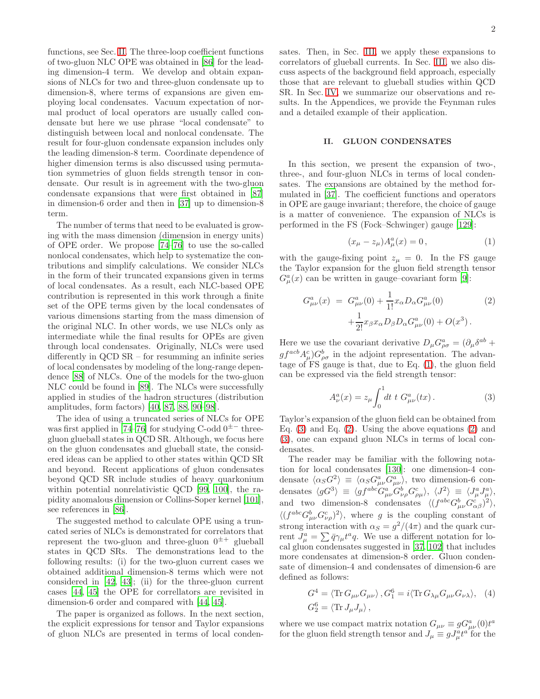functions, see Sec. [II.](#page-1-0) The three-loop coefficient functions of two-gluon NLC OPE was obtained in [\[86](#page-15-6)] for the leading dimension-4 term. We develop and obtain expansions of NLCs for two and three-gluon condensate up to dimension-8, where terms of expansions are given employing local condensates. Vacuum expectation of normal product of local operators are usually called condensate but here we use phrase "local condensate" to distinguish between local and nonlocal condensate. The result for four-gluon condensate expansion includes only the leading dimension-8 term. Coordinate dependence of higher dimension terms is also discussed using permutation symmetries of gluon fields strength tensor in condensate. Our result is in agreement with the two-gluon condensate expansions that were first obtained in [\[87](#page-15-7)] in dimension-6 order and then in [\[37](#page-14-6)] up to dimension-8 term.

The number of terms that need to be evaluated is growing with the mass dimension (dimension in energy units) of OPE order. We propose [\[74](#page-15-8)[–76\]](#page-15-9) to use the so-called nonlocal condensates, which help to systematize the contributions and simplify calculations. We consider NLCs in the form of their truncated expansions given in terms of local condensates. As a result, each NLC-based OPE contribution is represented in this work through a finite set of the OPE terms given by the local condensates of various dimensions starting from the mass dimension of the original NLC. In other words, we use NLCs only as intermediate while the final results for OPEs are given through local condensates. Originally, NLCs were used differently in QCD SR – for resumming an infinite series of local condensates by modeling of the long-range dependence [\[88](#page-15-10)] of NLCs. One of the models for the two-gluon NLC could be found in [\[89\]](#page-15-11). The NLCs were successfully applied in studies of the hadron structures (distribution amplitudes, form factors) [\[40](#page-14-8), [87,](#page-15-7) [88,](#page-15-10) [90–](#page-15-12)[98\]](#page-15-13).

The idea of using a truncated series of NLCs for OPE was first applied in [\[74](#page-15-8)[–76\]](#page-15-9) for studying C-odd  $0^{\pm-}$  threegluon glueball states in QCD SR. Although, we focus here on the gluon condensates and glueball state, the considered ideas can be applied to other states within QCD SR and beyond. Recent applications of gluon condensates beyond QCD SR include studies of heavy quarkonium within potential nonrelativistic QCD [\[99,](#page-15-14) [100\]](#page-15-15), the rapidity anomalous dimension or Collins-Soper kernel [\[101\]](#page-15-16), see references in [\[86](#page-15-6)].

The suggested method to calculate OPE using a truncated series of NLCs is demonstrated for correlators that represent the two-gluon and three-gluon  $0^{\pm +}$  glueball states in QCD SRs. The demonstrations lead to the following results: (i) for the two-gluon current cases we obtained additional dimension-8 terms which were not considered in [\[42,](#page-14-10) [43](#page-14-19)]; (ii) for the three-gluon current cases [\[44,](#page-14-21) [45](#page-14-11)] the OPE for correllators are revisited in dimension-6 order and compared with [\[44,](#page-14-21) [45\]](#page-14-11).

The paper is organized as follows. In the next section, the explicit expressions for tensor and Taylor expansions of gluon NLCs are presented in terms of local condensates. Then, in Sec. [III,](#page-5-0) we apply these expansions to correlators of glueball currents. In Sec. [III,](#page-5-0) we also discuss aspects of the background field approach, especially those that are relevant to glueball studies within QCD SR. In Sec. [IV,](#page-9-0) we summarize our observations and results. In the Appendices, we provide the Feynman rules and a detailed example of their application.

#### <span id="page-1-0"></span>II. GLUON CONDENSATES

In this section, we present the expansion of two-, three-, and four-gluon NLCs in terms of local condensates. The expansions are obtained by the method formulated in [\[37](#page-14-6)]. The coefficient functions and operators in OPE are gauge invariant; therefore, the choice of gauge is a matter of convenience. The expansion of NLCs is performed in the FS (Fock–Schwinger) gauge [\[129\]](#page-16-0):

<span id="page-1-1"></span>
$$
(x_{\mu} - z_{\mu})A_{\mu}^{a}(x) = 0, \qquad (1)
$$

with the gauge-fixing point  $z_{\mu} = 0$ . In the FS gauge the Taylor expansion for the gluon field strength tensor  $G_{\mu}^{a}(x)$  can be written in gauge–covariant form [\[9](#page-13-6)]:

<span id="page-1-3"></span>
$$
G^{a}_{\mu\nu}(x) = G^{a}_{\mu\nu}(0) + \frac{1}{1!} x_{\alpha} D_{\alpha} G^{a}_{\mu\nu}(0)
$$
  
 
$$
+ \frac{1}{2!} x_{\beta} x_{\alpha} D_{\beta} D_{\alpha} G^{a}_{\mu\nu}(0) + O(x^{3}).
$$
 (2)

Here we use the covariant derivative  $D_{\mu}G^a_{\rho\sigma} = (\partial_{\mu}\delta^{ab} +$  $gf^{acb}A^c_\mu)G^b_{\rho\sigma}$  in the adjoint representation. The advantage of FS gauge is that, due to Eq. [\(1\)](#page-1-1), the gluon field can be expressed via the field strength tensor:

<span id="page-1-2"></span>
$$
A_{\nu}^{a}(x) = z_{\mu} \int_{0}^{1} dt \ t \ G_{\mu\nu}^{a}(tx). \tag{3}
$$

Taylor's expansion of the gluon field can be obtained from Eq.  $(3)$  and Eq.  $(2)$ . Using the above equations  $(2)$  and [\(3\)](#page-1-2), one can expand gluon NLCs in terms of local condensates.

The reader may be familiar with the following notation for local condensates [\[130\]](#page-16-1): one dimension-4 condensate  $\langle \alpha_S G^2 \rangle \equiv \langle \alpha_S G^a_{\mu\nu} \overline{G^a_{\mu\nu}} \rangle$ , two dimension-6 condensates  $\langle gG^3 \rangle \equiv \langle gf^{abc} G^a_{\mu\nu} G^b_{\nu\rho} G^c_{\rho\mu} \rangle, \langle J^2 \rangle \equiv \langle J^a_\mu J^a_\mu \rangle,$ and two dimension-8 condensates  $\langle (f^{abc}G^b_{\mu\nu}G^c_{\alpha\beta})^2 \rangle$ ,  $\langle (f^{abc} G^b_{\mu\nu} G^c_{\nu\rho})^2 \rangle$ , where g is the coupling constant of strong interaction with  $\alpha_S = g^2/(4\pi)$  and the quark current  $J^a_\mu = \sum \bar{q} \gamma_\mu t^a q$ . We use a different notation for local gluon condensates suggested in [\[37,](#page-14-6) [102\]](#page-15-17) that includes more condensates at dimension-8 order. Gluon condensate of dimension-4 and condensates of dimension-6 are defined as follows:

<span id="page-1-4"></span>
$$
G^4 = \langle \text{Tr} \, G_{\mu\nu} G_{\mu\nu} \rangle, G_1^6 = i \langle \text{Tr} \, G_{\lambda\mu} G_{\mu\nu} G_{\nu\lambda} \rangle, \tag{4}
$$
  

$$
G_2^6 = \langle \text{Tr} \, J_\mu J_\mu \rangle,
$$

where we use compact matrix notation  $G_{\mu\nu} \equiv g G^a_{\mu\nu}(0) t^a$ for the gluon field strength tensor and  $J_{\mu} \equiv g J_{\mu}^{a} t^{a'}$  for the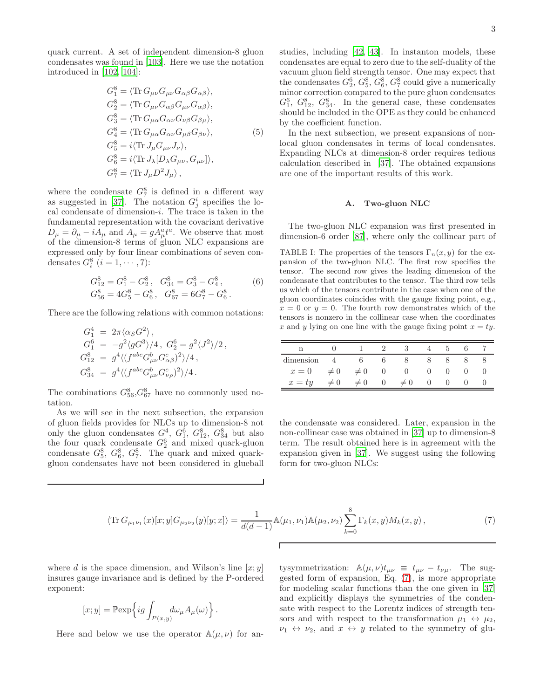quark current. A set of independent dimension-8 gluon condensates was found in [\[103\]](#page-15-18). Here we use the notation introduced in [\[102](#page-15-17), [104](#page-15-19)]:

<span id="page-2-3"></span>
$$
G_1^8 = \langle \text{Tr} \, G_{\mu\nu} G_{\mu\nu} G_{\alpha\beta} G_{\alpha\beta} \rangle,
$$
  
\n
$$
G_2^8 = \langle \text{Tr} \, G_{\mu\nu} G_{\alpha\beta} G_{\mu\nu} G_{\alpha\beta} \rangle,
$$
  
\n
$$
G_3^8 = \langle \text{Tr} \, G_{\mu\alpha} G_{\alpha\nu} G_{\nu\beta} G_{\beta\mu} \rangle,
$$
  
\n
$$
G_4^8 = \langle \text{Tr} \, G_{\mu\alpha} G_{\alpha\nu} G_{\mu\beta} G_{\beta\nu} \rangle,
$$
  
\n
$$
G_5^8 = i \langle \text{Tr} \, J_\mu G_{\mu\nu} J_\nu \rangle,
$$
  
\n
$$
G_6^8 = i \langle \text{Tr} \, J_\lambda [D_\lambda G_{\mu\nu}, G_{\mu\nu}] \rangle,
$$
  
\n
$$
G_7^8 = \langle \text{Tr} \, J_\mu D^2 J_\mu \rangle,
$$

where the condensate  $G_7^8$  is defined in a different way as suggested in [\[37\]](#page-14-6). The notation  $G_j^i$  specifies the local condensate of dimension- $i$ . The trace is taken in the fundamental representation with the covariant derivative  $D_{\mu} = \partial_{\mu} - iA_{\mu}$  and  $A_{\mu} = gA_{\mu}^{a}t^{a}$ . We observe that most of the dimension-8 terms of gluon NLC expansions are expressed only by four linear combinations of seven condensates  $G_i^8$   $(i = 1, \cdots, 7)$ :

<span id="page-2-4"></span>
$$
G_{12}^{8} = G_{1}^{8} - G_{2}^{8}, \quad G_{34}^{8} = G_{3}^{8} - G_{4}^{8},
$$
  
\n
$$
G_{56}^{8} = 4G_{5}^{8} - G_{6}^{8}, \quad G_{67}^{8} = 6G_{7}^{8} - G_{6}^{8}.
$$
\n
$$
(6)
$$

There are the following relations with common notations:

$$
G_1^4 = 2\pi \langle \alpha_S G^2 \rangle ,
$$
  
\n
$$
G_1^6 = -g^2 \langle gG^3 \rangle / 4 , G_2^6 = g^2 \langle J^2 \rangle / 2 ,
$$
  
\n
$$
G_{12}^8 = g^4 \langle (f^{abc} G_{\mu\nu}^b G_{\alpha\beta}^c)^2 \rangle / 4 ,
$$
  
\n
$$
G_{34}^8 = g^4 \langle (f^{abc} G_{\mu\nu}^b G_{\nu\rho}^c)^2 \rangle / 4 .
$$

The combinations  $G_{56}^8, G_{67}^8$  have no commonly used notation.

As we will see in the next subsection, the expansion of gluon fields provides for NLCs up to dimension-8 not only the gluon condensates  $G_1^4$ ,  $G_1^6$ ,  $G_{12}^8$ ,  $G_{34}^8$  but also the four quark condensate  $G_2^6$  and mixed quark-gluon condensate  $G_5^8$ ,  $G_6^8$ ,  $G_7^8$ . The quark and mixed quarkgluon condensates have not been considered in glueball studies, including [\[42,](#page-14-10) [43](#page-14-19)]. In instanton models, these condensates are equal to zero due to the self-duality of the vacuum gluon field strength tensor. One may expect that the condensates  $G_2^6, G_5^8, G_6^8, G_7^8$  could give a numerically minor correction compared to the pure gluon condensates  $G_1^6$ ,  $G_{12}^8$ ,  $G_{34}^8$ . In the general case, these condensates should be included in the OPE as they could be enhanced by the coefficient function.

In the next subsection, we present expansions of nonlocal gluon condensates in terms of local condensates. Expanding NLCs at dimension-8 order requires tedious calculation described in [\[37](#page-14-6)]. The obtained expansions are one of the important results of this work.

### <span id="page-2-0"></span>A. Two-gluon NLC

The two-gluon NLC expansion was first presented in dimension-6 order [\[87](#page-15-7)], where only the collinear part of

<span id="page-2-2"></span>TABLE I: The properties of the tensors  $\Gamma_n(x, y)$  for the expansion of the two-gluon NLC. The first row specifies the tensor. The second row gives the leading dimension of the condensate that contributes to the tensor. The third row tells us which of the tensors contribute in the case when one of the gluon coordinates coincides with the gauge fixing point, e.g.,  $x = 0$  or  $y = 0$ . The fourth row demonstrates which of the tensors is nonzero in the collinear case when the coordinates x and y lying on one line with the gauge fixing point  $x = ty$ .

| dimension |          |          |        |          |  |  |
|-----------|----------|----------|--------|----------|--|--|
| $x=0$     | $\neq 0$ | $\neq 0$ | $\cup$ |          |  |  |
| $x = ty$  |          | $\theta$ |        | $\neq 0$ |  |  |

the condensate was considered. Later, expansion in the non-collinear case was obtained in [\[37](#page-14-6)] up to dimension-8 term. The result obtained here is in agreement with the expansion given in [\[37\]](#page-14-6). We suggest using the following form for two-gluon NLCs:

<span id="page-2-1"></span>
$$
\langle \text{Tr}\, G_{\mu_1\nu_1}(x)[x;y] G_{\mu_2\nu_2}(y)[y;x] \rangle = \frac{1}{d(d-1)} \mathbb{A}(\mu_1,\nu_1) \mathbb{A}(\mu_2,\nu_2) \sum_{k=0}^8 \Gamma_k(x,y) M_k(x,y) , \tag{7}
$$

where d is the space dimension, and Wilson's line  $[x; y]$ insures gauge invariance and is defined by the P-ordered exponent:

$$
[x; y] = \mathbb{P} \exp \left\{ ig \int_{P(x,y)} d\omega_{\mu} A_{\mu}(\omega) \right\}.
$$

Here and below we use the operator  $\mathbb{A}(\mu,\nu)$  for an-

tysymmetrization:  $\mathbb{A}(\mu, \nu)t_{\mu\nu} \equiv t_{\mu\nu} - t_{\nu\mu}$ . The suggested form of expansion, Eq. [\(7\)](#page-2-1), is more appropriate for modeling scalar functions than the one given in [\[37](#page-14-6)] and explicitly displays the symmetries of the condensate with respect to the Lorentz indices of strength tensors and with respect to the transformation  $\mu_1 \leftrightarrow \mu_2$ ,  $\nu_1 \leftrightarrow \nu_2$ , and  $x \leftrightarrow y$  related to the symmetry of glu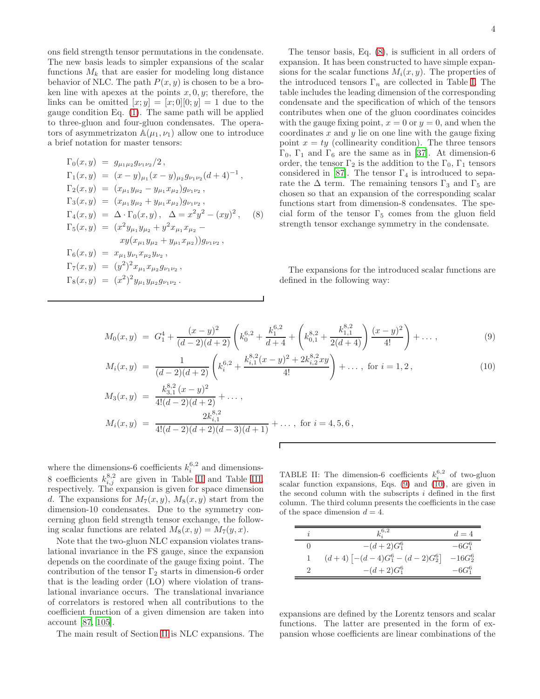ons field strength tensor permutations in the condensate. The new basis leads to simpler expansions of the scalar functions  $M_k$  that are easier for modeling long distance behavior of NLC. The path  $P(x, y)$  is chosen to be a broken line with apexes at the points  $x, 0, y$ ; therefore, the links can be omitted  $[x; y] = [x; 0][0; y] = 1$  due to the gauge condition Eq. [\(1\)](#page-1-1). The same path will be applied to three-gluon and four-gluon condensates. The operators of asymmetrizaton  $A(\mu_1, \nu_1)$  allow one to introduce a brief notation for master tensors:

<span id="page-3-0"></span>
$$
\Gamma_0(x, y) = g_{\mu_1 \mu_2} g_{\nu_1 \nu_2}/2,
$$
\n
$$
\Gamma_1(x, y) = (x - y)_{\mu_1} (x - y)_{\mu_2} g_{\nu_1 \nu_2} (d + 4)^{-1},
$$
\n
$$
\Gamma_2(x, y) = (x_{\mu_1} y_{\mu_2} - y_{\mu_1} x_{\mu_2}) g_{\nu_1 \nu_2},
$$
\n
$$
\Gamma_3(x, y) = (x_{\mu_1} y_{\mu_2} + y_{\mu_1} x_{\mu_2}) g_{\nu_1 \nu_2},
$$
\n
$$
\Gamma_4(x, y) = \Delta \cdot \Gamma_0(x, y), \quad \Delta = x^2 y^2 - (xy)^2,
$$
\n
$$
\Gamma_5(x, y) = (x^2 y_{\mu_1} y_{\mu_2} + y^2 x_{\mu_1} x_{\mu_2} - xy(x_{\mu_1} y_{\mu_2} + y_{\mu_1} x_{\mu_2})) g_{\nu_1 \nu_2},
$$
\n
$$
\Gamma_6(x, y) = x_{\mu_1} y_{\nu_1} x_{\mu_2} y_{\nu_2},
$$
\n
$$
\Gamma_7(x, y) = (y^2)^2 x_{\mu_1} x_{\mu_2} g_{\nu_1 \nu_2},
$$
\n
$$
\Gamma_8(x, y) = (x^2)^2 y_{\mu_1} y_{\mu_2} g_{\nu_1 \nu_2}.
$$

The tensor basis, Eq. [\(8\)](#page-3-0), is sufficient in all orders of expansion. It has been constructed to have simple expansions for the scalar functions  $M_i(x, y)$ . The properties of the introduced tensors  $\Gamma_n$  are collected in Table [I.](#page-2-2) The table includes the leading dimension of the corresponding condensate and the specification of which of the tensors contributes when one of the gluon coordinates coincides with the gauge fixing point,  $x = 0$  or  $y = 0$ , and when the coordinates  $x$  and  $y$  lie on one line with the gauge fixing point  $x = ty$  (collinearity condition). The three tensors  $Γ_0$ ,  $Γ_1$  and  $Γ_6$  are the same as in [\[37\]](#page-14-6). At dimension-6 order, the tensor  $\Gamma_2$  is the addition to the  $\Gamma_0$ ,  $\Gamma_1$  tensors considered in [\[87\]](#page-15-7). The tensor  $\Gamma_4$  is introduced to separate the  $\Delta$  term. The remaining tensors  $\Gamma_3$  and  $\Gamma_5$  are chosen so that an expansion of the corresponding scalar functions start from dimension-8 condensates. The special form of the tensor  $\Gamma_5$  comes from the gluon field strength tensor exchange symmetry in the condensate.

The expansions for the introduced scalar functions are defined in the following way:

<span id="page-3-2"></span>
$$
M_0(x,y) = G_1^4 + \frac{(x-y)^2}{(d-2)(d+2)} \left( k_0^{6,2} + \frac{k_1^{6,2}}{d+4} + \left( k_{0,1}^{8,2} + \frac{k_{1,1}^{8,2}}{2(d+4)} \right) \frac{(x-y)^2}{4!} \right) + \dots,
$$
\n(9)

$$
M_i(x,y) = \frac{1}{(d-2)(d+2)} \left( k_i^{6,2} + \frac{k_{i,1}^{8,2}(x-y)^2 + 2k_{i,2}^{8,2}xy}{4!} \right) + \dots, \text{ for } i = 1,2,
$$
 (10)

$$
M_3(x,y) = \frac{k_{3,1}^{8,2} (x-y)^2}{4!(d-2)(d+2)} + \dots,
$$
  
\n
$$
M_i(x,y) = \frac{2k_{i,1}^{8,2}}{4!(d-2)(d+2)(d-3)(d+1)} + \dots, \text{ for } i = 4,5,6,
$$

where the dimensions-6 coefficients  $k_i^{6,2}$  and dimensions-8 coefficients  $k_{i,j}^{8,2}$  are given in Table [II](#page-3-1) and Table [III,](#page-4-0) respectively. The expansion is given for space dimension d. The expansions for  $M_7(x, y)$ ,  $M_8(x, y)$  start from the dimension-10 condensates. Due to the symmetry concerning gluon field strength tensor exchange, the following scalar functions are related  $M_8(x, y) = M_7(y, x)$ .

Note that the two-gluon NLC expansion violates translational invariance in the FS gauge, since the expansion depends on the coordinate of the gauge fixing point. The contribution of the tensor  $\Gamma_2$  starts in dimension-6 order that is the leading order (LO) where violation of translational invariance occurs. The translational invariance of correlators is restored when all contributions to the coefficient function of a given dimension are taken into account [\[87,](#page-15-7) [105\]](#page-15-20).

The main result of Section [II](#page-1-0) is NLC expansions. The

<span id="page-3-1"></span>TABLE II: The dimension-6 coefficients  $k_i^{6,2}$  of two-gluon scalar function expansions, Eqs. [\(9\)](#page-3-2) and [\(10\)](#page-3-2), are given in the second column with the subscripts  $i$  defined in the first column. The third column presents the coefficients in the case of the space dimension  $d = 4$ .

| $k_\cdot^{6,2}$                            | $d=4$      |
|--------------------------------------------|------------|
| $-(d+2)G_1^6$                              | $-6G_1^6$  |
| $(d+4)\left[-(d-4)G_1^6-(d-2)G_2^6\right]$ | $-16G_2^6$ |
| $-(d+2)G_1^6$                              | $-6G_1^6$  |

expansions are defined by the Lorentz tensors and scalar functions. The latter are presented in the form of expansion whose coefficients are linear combinations of the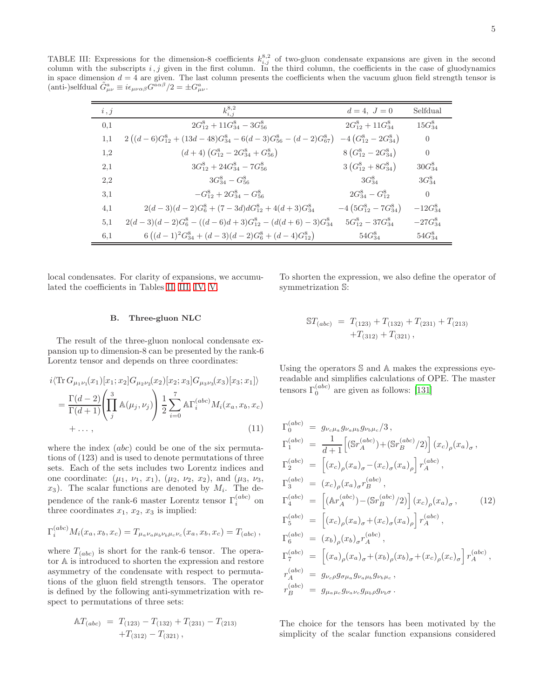TABLE III: Expressions for the dimension-8 coefficients  $k_{i,j}^{8,2}$  of two-gluon condensate expansions are given in the second column with the subscripts  $i, j$  given in the first column. In the third column, the coefficients in the case of gluodynamics in space dimension  $d = 4$  are given. The last column presents the coefficients when the vacuum gluon field strength tensor is (anti-)selfdual  $\tilde{G}^a_{\mu\nu} \equiv i\epsilon_{\mu\nu\alpha\beta} G^{\alpha\alpha\beta}/2 = \pm G^a_{\mu\nu}$ .

<span id="page-4-0"></span>

| i, j | $k_{i,i}^{8,2}$                                                          | $d = 4, J = 0$                       | Selfdual       |
|------|--------------------------------------------------------------------------|--------------------------------------|----------------|
| 0,1  | $2G_{12}^8 + 11G_{34}^8 - 3G_{56}^8$                                     | $2G_{12}^8+11G_{34}^8$               | $15G_{34}^8$   |
| 1,1  | $2((d-6)G_{12}^8 + (13d - 48)G_{34}^8 - 6(d-3)G_{56}^8 - (d-2)G_{67}^8)$ | $-4\left(G_{12}^8-2G_{34}^8\right)$  | $\overline{0}$ |
| 1,2  | $(d+4)$ $(G_{12}^8-2G_{34}^8+G_{56}^8)$                                  | $8\left(G_{12}^8-2G_{34}^8\right)$   | $\theta$       |
| 2,1  | $3G_{12}^8 + 24G_{34}^8 - 7G_{56}^8$                                     | $3\left(G_{12}^8+8G_{34}^8\right)$   | $30G_{34}^8$   |
| 2,2  | $3G_{34}^8 - G_{56}^8$                                                   | $3G_{34}^8$                          | $3G_{34}^8$    |
| 3.1  | $-G_{12}^8 + 2G_{34}^8 - G_{56}^8$                                       | $2G_{34}^8 - G_{12}^8$               | $\theta$       |
| 4,1  | $2(d-3)(d-2)G_6^8 + (7-3d)dG_{12}^8 + 4(d+3)G_{34}^8$                    | $-4\left(5G_{12}^8-7G_{34}^8\right)$ | $-12G_{34}^8$  |
| 5.1  | $2(d-3)(d-2)G_6^8 - ((d-6)d+3)G_{12}^8 - (d(d+6) - 3)G_{34}^8$           | $5G_{12}^8 - 37G_{34}^8$             | $-27G_{34}^8$  |
| 6,1  | $6((d-1)^{2}G_{34}^{8}+(d-3)(d-2)G_{6}^{8}+(d-4)G_{12}^{8})$             | $54G_{34}^8$                         | $54G_{34}^8$   |

local condensates. For clarity of expansions, we accumulated the coefficients in Tables [II,](#page-3-1) [III,](#page-4-0) [IV,](#page-6-0) [V.](#page-6-1)

To shorten the expression, we also define the operator of symmetrization S:

## B. Three-gluon NLC

The result of the three-gluon nonlocal condensate expansion up to dimension-8 can be presented by the rank-6 Lorentz tensor and depends on three coordinates:

<span id="page-4-1"></span>
$$
i\langle \text{Tr } G_{\mu_1\nu_1}(x_1)[x_1; x_2]G_{\mu_2\nu_2}(x_2)[x_2; x_3]G_{\mu_3\nu_3}(x_3)[x_3; x_1] \rangle
$$
  
= 
$$
\frac{\Gamma(d-2)}{\Gamma(d+1)} \left( \prod_j^3 \mathbb{A}(\mu_j, \nu_j) \right) \frac{1}{2} \sum_{i=0}^7 \mathbb{A} \Gamma_i^{(abc)} M_i(x_a, x_b, x_c)
$$
  
+..., (11)

where the index *(abc)* could be one of the six permutations of (123) and is used to denote permutations of three sets. Each of the sets includes two Lorentz indices and one coordinate:  $(\mu_1, \nu_1, x_1), (\mu_2, \nu_2, x_2),$  and  $(\mu_3, \nu_3,$  $x_3$ ). The scalar functions are denoted by  $M_i$ . The dependence of the rank-6 master Lorentz tensor  $\Gamma_i^{(abc)}$  on three coordinates  $x_1, x_2, x_3$  is implied:

$$
\Gamma_i^{(abc)} M_i(x_a, x_b, x_c) = T_{\mu_a \nu_a \mu_b \nu_b \mu_c \nu_c}(x_a, x_b, x_c) = T_{(abc)},
$$

where  $T_{(abc)}$  is short for the rank-6 tensor. The operator A is introduced to shorten the expression and restore asymmetry of the condensate with respect to permutations of the gluon field strength tensors. The operator is defined by the following anti-symmetrization with respect to permutations of three sets:

$$
AT_{(abc)} = T_{(123)} - T_{(132)} + T_{(231)} - T_{(213)} +T_{(312)} - T_{(321)},
$$

$$
\begin{aligned} \mathbb{S}T_{(abc)} &= T_{(123)} + T_{(132)} + T_{(231)} + T_{(213)} \\ &+ T_{(312)} + T_{(321)} \,, \end{aligned}
$$

Using the operators S and A makes the expressions eyereadable and simplifies calculations of OPE. The master tensors  $\Gamma_0^{(abc)}$  are given as follows: [\[131\]](#page-16-2)

<span id="page-4-2"></span>
$$
\Gamma_0^{(abc)} = g_{\nu_c\mu_a} g_{\nu_a\mu_b} g_{\nu_b\mu_c}/3,
$$
\n
$$
\Gamma_1^{(abc)} = \frac{1}{d+1} \Big[ \left( \mathbb{S}r_A^{(abc)} \right) + \left( \mathbb{S}r_B^{(abc)} / 2 \right) \Big] (x_c)_{\rho} (x_a)_{\sigma},
$$
\n
$$
\Gamma_2^{(abc)} = \Big[ (x_c)_{\rho} (x_a)_{\sigma} - (x_c)_{\sigma} (x_a)_{\rho} \Big] r_A^{(abc)},
$$
\n
$$
\Gamma_3^{(abc)} = (x_c)_{\rho} (x_a)_{\sigma} r_B^{(abc)},
$$
\n
$$
\Gamma_4^{(abc)} = \Big[ (\mathbb{A}r_A^{(abc)}) - (\mathbb{S}r_B^{(abc)}/2) \Big] (x_c)_{\rho} (x_a)_{\sigma}, \qquad (12)
$$
\n
$$
\Gamma_5^{(abc)} = \Big[ (x_c)_{\rho} (x_a)_{\sigma} + (x_c)_{\sigma} (x_a)_{\rho} \Big] r_A^{(abc)},
$$
\n
$$
\Gamma_6^{(abc)} = (x_b)_{\rho} (x_b)_{\sigma} r_A^{(abc)},
$$
\n
$$
\Gamma_7^{(abc)} = \Big[ (x_a)_{\rho} (x_a)_{\sigma} + (x_b)_{\rho} (x_b)_{\sigma} + (x_c)_{\rho} (x_c)_{\sigma} \Big] r_A^{(abc)},
$$
\n
$$
r_A^{(abc)} = g_{\nu_c \rho} g_{\sigma \mu_a} g_{\nu_a \mu_b} g_{\nu_b \mu_c},
$$
\n
$$
r_B^{(abc)} = g_{\mu_a \mu_c} g_{\nu_a \nu_c} g_{\mu_b \rho} g_{\nu_b \sigma}.
$$

The choice for the tensors has been motivated by the simplicity of the scalar function expansions considered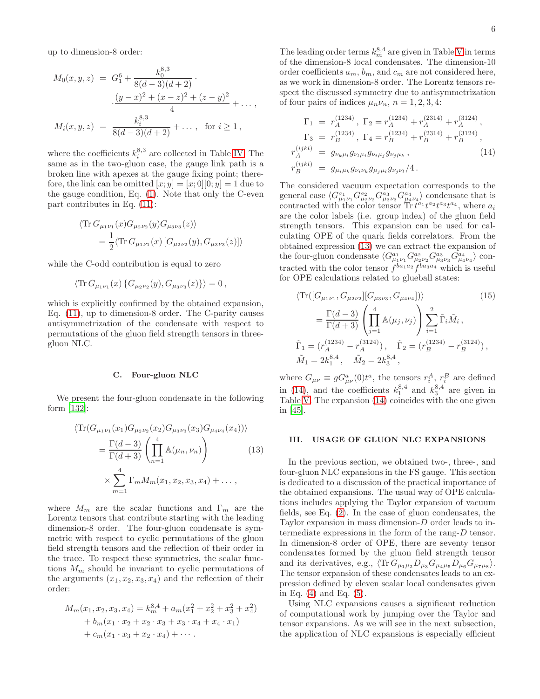up to dimension-8 order:

$$
M_0(x, y, z) = G_1^6 + \frac{k_0^{8,3}}{8(d-3)(d+2)} \cdot \frac{(y-x)^2 + (x-z)^2 + (z-y)^2}{4} + \dots,
$$
  

$$
M_i(x, y, z) = \frac{k_i^{8,3}}{8(d-3)(d+2)} + \dots, \text{ for } i \ge 1,
$$

where the coefficients  $k_i^{8,3}$  are collected in Table [IV.](#page-6-0) The same as in the two-gluon case, the gauge link path is a broken line with apexes at the gauge fixing point; therefore, the link can be omitted  $[x; y] = [x; 0][0; y] = 1$  due to the gauge condition, Eq. [\(1\)](#page-1-1). Note that only the C-even part contributes in Eq. [\(11\)](#page-4-1):

$$
\langle \text{Tr} \, G_{\mu_1 \nu_1}(x) G_{\mu_2 \nu_2}(y) G_{\mu_3 \nu_3}(z) \rangle
$$
  
=  $\frac{1}{2} \langle \text{Tr} \, G_{\mu_1 \nu_1}(x) \left[ G_{\mu_2 \nu_2}(y), G_{\mu_3 \nu_3}(z) \right] \rangle$ 

while the C-odd contribution is equal to zero

$$
\langle \text{Tr}\, G_{\mu_1\nu_1}(x) \{ G_{\mu_2\nu_2}(y), G_{\mu_3\nu_3}(z) \} \rangle = 0 \,,
$$

which is explicitly confirmed by the obtained expansion, Eq. [\(11\)](#page-4-1), up to dimension-8 order. The C-parity causes antisymmetrization of the condensate with respect to permutations of the gluon field strength tensors in threegluon NLC.

### C. Four-gluon NLC

We present the four-gluon condensate in the following form [\[132](#page-16-3)]:

<span id="page-5-1"></span>
$$
\langle \text{Tr}(G_{\mu_1\nu_1}(x_1)G_{\mu_2\nu_2}(x_2)G_{\mu_3\nu_3}(x_3)G_{\mu_4\nu_4}(x_4)) \rangle
$$
  
=  $\frac{\Gamma(d-3)}{\Gamma(d+3)} \left( \prod_{n=1}^4 \mathbb{A}(\mu_n, \nu_n) \right)$  (13)  
 $\times \sum_{m=1}^4 \Gamma_m M_m(x_1, x_2, x_3, x_4) + \dots,$ 

where  $M_m$  are the scalar functions and  $\Gamma_m$  are the Lorentz tensors that contribute starting with the leading dimension-8 order. The four-gluon condensate is symmetric with respect to cyclic permutations of the gluon field strength tensors and the reflection of their order in the trace. To respect these symmetries, the scalar functions  $M_m$  should be invariant to cyclic permutations of the arguments  $(x_1, x_2, x_3, x_4)$  and the reflection of their order:

$$
M_m(x_1, x_2, x_3, x_4) = k_m^{8,4} + a_m(x_1^2 + x_2^2 + x_3^2 + x_4^2)
$$
  
+ 
$$
b_m(x_1 \cdot x_2 + x_2 \cdot x_3 + x_3 \cdot x_4 + x_4 \cdot x_1)
$$
  
+ 
$$
c_m(x_1 \cdot x_3 + x_2 \cdot x_4) + \cdots
$$

The leading order terms  $k_m^{8,4}$  are given in Table [V](#page-6-1) in terms of the dimension-8 local condensates. The dimension-10 order coefficients  $a_m$ ,  $b_m$ , and  $c_m$  are not considered here, as we work in dimension-8 order. The Lorentz tensors respect the discussed symmetry due to antisymmetrization of four pairs of indices  $\mu_n \nu_n$ ,  $n = 1, 2, 3, 4$ :

<span id="page-5-2"></span>
$$
\Gamma_1 = r_A^{(1234)}, \Gamma_2 = r_A^{(1234)} + r_A^{(2314)} + r_A^{(3124)},
$$
  
\n
$$
\Gamma_3 = r_B^{(1234)}, \Gamma_4 = r_B^{(1234)} + r_B^{(2314)} + r_B^{(3124)},
$$
  
\n
$$
r_A^{(ijkl)} = g_{\nu_k\mu_l} g_{\nu_l\mu_i} g_{\nu_j\mu_k}, \qquad (14)
$$
  
\n
$$
r_B^{(ijkl)} = g_{\mu_i\mu_k} g_{\nu_i\nu_k} g_{\mu_j\mu_l} g_{\nu_j\nu_l}/4.
$$

The considered vacuum expectation corresponds to the general case  $\langle G_{\mu_1\nu_1}^{a_1} G_{\mu_2\nu_2}^{a_2} G_{\mu_3\nu_3}^{a_3} G_{\mu_4\nu_4}^{a_4} \rangle$  condensate that is contracted with the color tensor  $\text{Tr } t^{a_1} t^{a_2} t^{a_3} t^{a_4}$ , where  $a_i$ are the color labels (i.e. group index) of the gluon field strength tensors. This expansion can be used for calculating OPE of the quark fields correlators. From the obtained expression [\(13\)](#page-5-1) we can extract the expansion of the four-gluon condensate  $\langle G_{\mu_1\nu_1}^{a_1} G_{\mu_2\nu_2}^{a_2} G_{\mu_3\nu_3}^{a_3} G_{\mu_4\nu_4}^{a_4} \rangle$  contracted with the color tensor  $f^{ba_1a_2} f^{ba_3a_4}$  which is useful for OPE calculations related to glueball states:

<span id="page-5-3"></span>
$$
\langle \text{Tr}([G_{\mu_1\nu_1}, G_{\mu_2\nu_2}][G_{\mu_3\nu_3}, G_{\mu_4\nu_4}]) \rangle \qquad (15)
$$
  

$$
= \frac{\Gamma(d-3)}{\Gamma(d+3)} \left( \prod_{j=1}^4 \mathbb{A}(\mu_j, \nu_j) \right) \sum_{i=1}^2 \tilde{\Gamma}_i \tilde{M}_i ,
$$
  

$$
\tilde{\Gamma}_1 = (r_A^{(1234)} - r_A^{(3124)}), \quad \tilde{\Gamma}_2 = (r_B^{(1234)} - r_B^{(3124)}),
$$
  

$$
\tilde{M}_1 = 2k_1^{8,4}, \quad \tilde{M}_2 = 2k_3^{8,4},
$$

where  $G_{\mu\nu} \equiv g G_{\mu\nu}^a(0) t^a$ , the tensors  $r_i^A$ ,  $r_i^B$  are defined in [\(14\)](#page-5-2), and the coefficients  $k_1^{8,4}$  and  $k_3^{8,4}$  are given in Table [V.](#page-6-1) The expansion [\(14\)](#page-5-2) coincides with the one given in [\[45\]](#page-14-11).

#### <span id="page-5-0"></span>III. USAGE OF GLUON NLC EXPANSIONS

In the previous section, we obtained two-, three-, and four-gluon NLC expansions in the FS gauge. This section is dedicated to a discussion of the practical importance of the obtained expansions. The usual way of OPE calculations includes applying the Taylor expansion of vacuum fields, see Eq. [\(2\)](#page-1-3). In the case of gluon condensates, the Taylor expansion in mass dimension-D order leads to intermediate expressions in the form of the rang-D tensor. In dimension-8 order of OPE, there are seventy tensor condensates formed by the gluon field strength tensor and its derivatives, e.g.,  $\langle \text{Tr } G_{\mu_1\mu_2} D_{\mu_3} G_{\mu_4\mu_5} D_{\mu_6} G_{\mu_7\mu_8} \rangle$ . The tensor expansion of these condensates leads to an expression defined by eleven scalar local condensates given in Eq. [\(4\)](#page-1-4) and Eq. [\(5\)](#page-2-3).

Using NLC expansions causes a significant reduction of computational work by jumping over the Taylor and tensor expansions. As we will see in the next subsection, the application of NLC expansions is especially efficient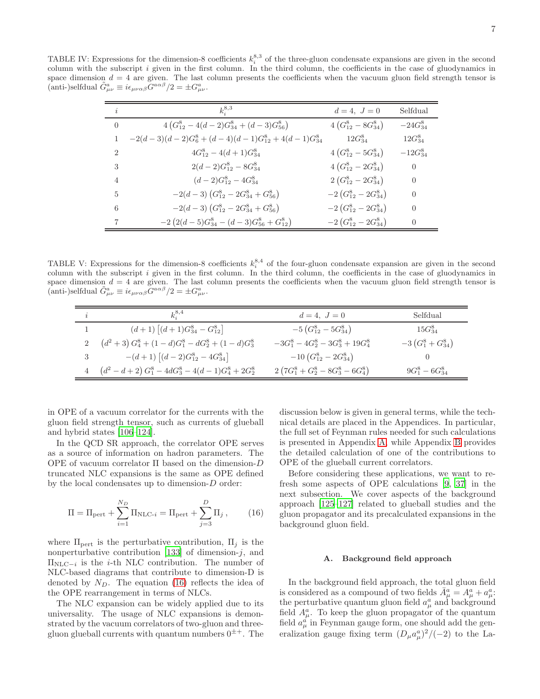TABLE IV: Expressions for the dimension-8 coefficients  $k_i^{8,3}$  of the three-gluon condensate expansions are given in the second column with the subscript i given in the first column. In the third column, the coefficients in the case of gluodynamics in space dimension  $d = 4$  are given. The last column presents the coefficients when the vacuum gluon field strength tensor is (anti-)selfdual  $\tilde{G}^a_{\mu\nu} \equiv i\epsilon_{\mu\nu\alpha\beta}\tilde{G}^{a\alpha\beta}/2 = \pm G^a_{\mu\nu}$ .

<span id="page-6-0"></span>

| i              | $k_{i}^{8,3}$                                               | $d = 4, J = 0$                      | Selfdual      |
|----------------|-------------------------------------------------------------|-------------------------------------|---------------|
| $\overline{0}$ | $4\left(G_{12}^{8}-4(d-2)G_{34}^{8}+(d-3)G_{56}^{8}\right)$ | $4\left(G_{12}^8-8G_{34}^8\right)$  | $-24G_{34}^8$ |
| 1              | $-2(d-3)(d-2)G_6^8 + (d-4)(d-1)G_{12}^8 + 4(d-1)G_{34}^8$   | $12G_{34}^8$                        | $12G_{34}^8$  |
| $\overline{2}$ | $4G_{12}^8 - 4(d+1)G_{34}^8$                                | $4\left(G_{12}^8-5G_{34}^8\right)$  | $-12G_{34}^8$ |
| 3              | $2(d-2)G_{12}^8-8G_{34}^8$                                  | $4\left(G_{12}^8-2G_{34}^8\right)$  | $\theta$      |
| $\overline{4}$ | $(d-2)G_{12}^8-4G_{34}^8$                                   | $2\left(G_{12}^8-2G_{34}^8\right)$  | $\theta$      |
| 5              | $-2(d-3)(G_{12}^8-2G_{34}^8+G_{56}^8)$                      | $-2\left(G_{12}^8-2G_{34}^8\right)$ | $\theta$      |
| 6              | $-2(d-3)(G_{12}^8-2G_{34}^8+G_{56}^8)$                      | $-2\left(G_{12}^8-2G_{34}^8\right)$ | $\Omega$      |
| 7              | $-2(2(d-5)G_{34}^8-(d-3)G_{56}^8+G_{12}^8)$                 | $-2(G_{12}^8-2G_{34}^8)$            | $\Omega$      |

TABLE V: Expressions for the dimension-8 coefficients  $k_i^{8,4}$  of the four-gluon condensate expansion are given in the second column with the subscript i given in the first column. In the third column, the coefficients in the case of gluodynamics in space dimension  $d = 4$  are given. The last column presents the coefficients when the vacuum gluon field strength tensor is (anti-)selfdual  $\tilde{G}^a_{\mu\nu} \equiv i\epsilon_{\mu\nu\alpha\beta}\tilde{G}^{a\alpha\beta}/2 = \pm G^a_{\mu\nu}$ .

<span id="page-6-1"></span>

| $\imath$    | $k^{8,4}$                                                            | $d = 4, J = 0$                        | Selfdual             |
|-------------|----------------------------------------------------------------------|---------------------------------------|----------------------|
|             | $(d+1)\left[ (d+1)G_{34}^8 - G_{12}^8 \right]$                       | $-5\left(G_{12}^8 - 5G_{34}^8\right)$ | $15G_{34}^8$         |
|             | $(d^{2}+3) G_{4}^{8} + (1-d)G_{1}^{8} - dG_{2}^{8} + (1-d)G_{3}^{8}$ | $-3G_1^8 - 4G_2^8 - 3G_3^8 + 19G_4^8$ | $-3(G_1^8+G_{34}^8)$ |
| $3^{\circ}$ | $-(d+1)\left[ (d-2)G_{12}^8 - 4G_{34}^8 \right]$                     | $-10\left(G_{12}^8-2G_{34}^8\right)$  |                      |
|             | $(d^2-d+2) G_1^8-4dG_3^8-4(d-1)G_4^8+2G_2^8$                         | $2(7G_1^8+G_2^8-8G_3^8-6G_4^8)$       | $9G_1^8 - 6G_{34}^8$ |

in OPE of a vacuum correlator for the currents with the gluon field strength tensor, such as currents of glueball and hybrid states [\[106](#page-15-21)[–124\]](#page-16-4).

In the QCD SR approach, the correlator OPE serves as a source of information on hadron parameters. The OPE of vacuum correlator Π based on the dimension-D truncated NLC expansions is the same as OPE defined by the local condensates up to dimension-D order:

<span id="page-6-2"></span>
$$
\Pi = \Pi_{\text{pert}} + \sum_{i=1}^{N_D} \Pi_{\text{NLC-}i} = \Pi_{\text{pert}} + \sum_{j=3}^{D} \Pi_j , \qquad (16)
$$

where  $\Pi_{\text{pert}}$  is the perturbative contribution,  $\Pi_i$  is the nonperturbative contribution [\[133](#page-16-5)] of dimension- $j$ , and  $\Pi_{\text{NLC}-i}$  is the *i*-th NLC contribution. The number of NLC-based diagrams that contribute to dimension-D is denoted by  $N_D$ . The equation [\(16\)](#page-6-2) reflects the idea of the OPE rearrangement in terms of NLCs.

The NLC expansion can be widely applied due to its universality. The usage of NLC expansions is demonstrated by the vacuum correlators of two-gluon and threegluon glueball currents with quantum numbers  $0^{\pm +}$ . The discussion below is given in general terms, while the technical details are placed in the Appendices. In particular, the full set of Feynman rules needed for such calculations is presented in Appendix [A,](#page-10-0) while Appendix [B](#page-11-0) provides the detailed calculation of one of the contributions to OPE of the glueball current correlators.

Before considering these applications, we want to refresh some aspects of OPE calculations [\[9](#page-13-6), [37](#page-14-6)] in the next subsection. We cover aspects of the background approach [\[125](#page-16-6)[–127\]](#page-16-7) related to glueball studies and the gluon propagator and its precalculated expansions in the background gluon field.

### A. Background field approach

In the background field approach, the total gluon field is considered as a compound of two fields  $\bar{A}^a_\mu = A^a_\mu + a^a_\mu$ : the perturbative quantum gluon field  $a^a_\mu$  and background field  $A^a_\mu$ . To keep the gluon propagator of the quantum field  $a_{\mu}^{a'}$  in Feynman gauge form, one should add the generalization gauge fixing term  $(D_{\mu}a_{\mu}^{a})^{2}/(-2)$  to the La-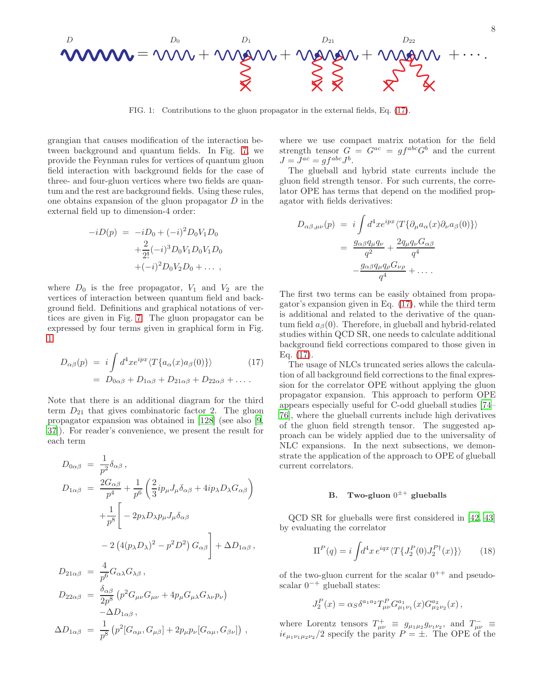$$
\mathbf{www} = \mathbf{vw} + \mathbf{w}_{\mathbf{a}} \mathbf{w} + \mathbf{w}_{\mathbf{a}} \mathbf{w}_{\mathbf{a}} + \mathbf{w}_{\mathbf{a}} \mathbf{w}_{\mathbf{a}} + \mathbf{w}_{\mathbf{a}} \mathbf{w}_{\mathbf{a}} + \cdots
$$

<span id="page-7-1"></span>FIG. 1: Contributions to the gluon propagator in the external fields, Eq. [\(17\)](#page-7-0).

grangian that causes modification of the interaction between background and quantum fields. In Fig. [7,](#page-12-0) we provide the Feynman rules for vertices of quantum gluon field interaction with background fields for the case of three- and four-gluon vertices where two fields are quantum and the rest are background fields. Using these rules, one obtains expansion of the gluon propagator  $D$  in the external field up to dimension-4 order:

$$
-iD(p) = -iD_0 + (-i)^2 D_0 V_1 D_0
$$
  
+  $\frac{2}{2!} (-i)^3 D_0 V_1 D_0 V_1 D_0$   
+  $(-i)^2 D_0 V_2 D_0 + \dots$ ,

where  $D_0$  is the free propagator,  $V_1$  and  $V_2$  are the vertices of interaction between quantum field and background field. Definitions and graphical notations of vertices are given in Fig. [7.](#page-12-0) The gluon propagator can be expressed by four terms given in graphical form in Fig. [1:](#page-7-1)

<span id="page-7-0"></span>
$$
D_{\alpha\beta}(p) = i \int d^4x e^{ipx} \langle T\{a_{\alpha}(x)a_{\beta}(0)\}\rangle
$$
 (17)  
= 
$$
D_{0\alpha\beta} + D_{1\alpha\beta} + D_{21\alpha\beta} + D_{22\alpha\beta} + \dots
$$

Note that there is an additional diagram for the third term  $D_{21}$  that gives combinatoric factor 2. The gluon propagator expansion was obtained in [\[128\]](#page-16-8) (see also [\[9](#page-13-6), [37\]](#page-14-6)). For reader's convenience, we present the result for each term

$$
D_{0\alpha\beta} = \frac{1}{p^2} \delta_{\alpha\beta} ,
$$
  
\n
$$
D_{1\alpha\beta} = \frac{2G_{\alpha\beta}}{p^4} + \frac{1}{p^6} \left( \frac{2}{3} i p_\mu J_\mu \delta_{\alpha\beta} + 4 i p_\lambda D_\lambda G_{\alpha\beta} \right)
$$
  
\n
$$
+ \frac{1}{p^8} \left[ -2 p_\lambda D_\lambda p_\mu J_\mu \delta_{\alpha\beta} - 2 \left( 4 (p_\lambda D_\lambda)^2 - p^2 D^2 \right) G_{\alpha\beta} \right] + \Delta D_{1\alpha\beta} ,
$$
  
\n
$$
D_{21\alpha\beta} = \frac{4}{p^6} G_{\alpha\lambda} G_{\lambda\beta} ,
$$

$$
D_{22\alpha\beta} = \frac{\delta_{\alpha\beta}}{2p^8} (p^2 G_{\mu\nu} G_{\mu\nu} + 4p_{\mu} G_{\mu\lambda} G_{\lambda\nu} p_{\nu})
$$
  

$$
-\Delta D_{1\alpha\beta},
$$
  

$$
\Delta D_{1\alpha\beta} = \frac{1}{p^8} (p^2 [G_{\alpha\mu}, G_{\mu\beta}] + 2p_{\mu} p_{\nu} [G_{\alpha\mu}, G_{\beta\nu}])
$$

where we use compact matrix notation for the field strength tensor  $G = G^{ac} = gf^{abc}G^b$  and the current  $J = J^{ac} = gf^{abc}J^b.$ 

The glueball and hybrid state currents include the gluon field strength tensor. For such currents, the correlator OPE has terms that depend on the modified propagator with fields derivatives:

$$
D_{\alpha\beta,\mu\nu}(p) = i \int d^4x e^{ipx} \langle T\{\partial_\mu a_\alpha(x)\partial_\nu a_\beta(0)\}\rangle
$$
  
= 
$$
\frac{g_{\alpha\beta}q_\mu q_\nu}{q^2} + \frac{2q_\mu q_\nu G_{\alpha\beta}}{q^4}
$$
  

$$
-\frac{g_{\alpha\beta}q_\mu q_\rho G_{\nu\rho}}{q^4} + \dots
$$

The first two terms can be easily obtained from propagator's expansion given in Eq. [\(17\)](#page-7-0), while the third term is additional and related to the derivative of the quantum field  $a_{\beta}(0)$ . Therefore, in glueball and hybrid-related studies within QCD SR, one needs to calculate additional background field corrections compared to those given in Eq. [\(17\)](#page-7-0).

The usage of NLCs truncated series allows the calculation of all background field corrections to the final expression for the correlator OPE without applying the gluon propagator expansion. This approach to perform OPE appears especially useful for C-odd glueball studies [\[74](#page-15-8)– [76](#page-15-9)], where the glueball currents include high derivatives of the gluon field strength tensor. The suggested approach can be widely applied due to the universality of NLC expansions. In the next subsections, we demonstrate the application of the approach to OPE of glueball current correlators.

# B. Two-gluon  $0^{\pm +}$  glueballs

QCD SR for glueballs were first considered in [\[42](#page-14-10), [43](#page-14-19)] by evaluating the correlator

<span id="page-7-2"></span>
$$
\Pi^{P}(q) = i \int d^{4}x \, e^{iqx} \langle T \{ J_{2}^{P}(0) J_{2}^{P\dagger}(x) \} \rangle \tag{18}
$$

of the two-gluon current for the scalar  $0^{++}$  and pseudoscalar  $0^{-+}$  glueball states:

$$
J_2^P(x) = \alpha_S \delta^{a_1 a_2} T^P_{\mu\nu} G^{a_1}_{\mu_1 \nu_1}(x) G^{a_2}_{\mu_2 \nu_2}(x) ,
$$

where Lorentz tensors  $T^+_{\mu\nu} \equiv g_{\mu_1\mu_2}g_{\nu_1\nu_2}$ , and  $T^-_{\mu\nu} \equiv$  $i\epsilon_{\mu_1\nu_1\mu_2\nu_2}/2$  specify the parity  $P = \pm$ . The OPE of the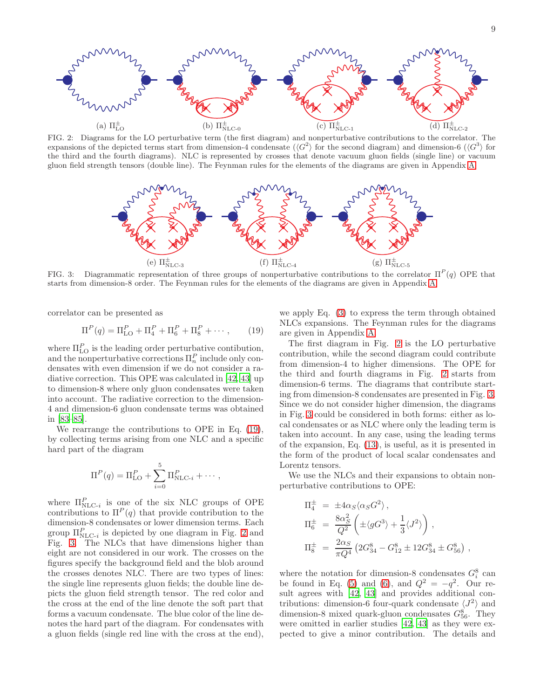

<span id="page-8-1"></span>FIG. 2: Diagrams for the LO perturbative term (the first diagram) and nonperturbative contributions to the correlator. The expansions of the depicted terms start from dimension-4 condensate  $(\langle G^2 \rangle)$  for the second diagram) and dimension-6  $(\langle G^3 \rangle)$  for the third and the fourth diagrams). NLC is represented by crosses that denote vacuum gluon fields (single line) or vacuum gluon field strength tensors (double line). The Feynman rules for the elements of the diagrams are given in Appendix [A.](#page-10-0)



<span id="page-8-2"></span>FIG. 3: Diagrammatic representation of three groups of nonperturbative contributions to the correlator  $\Pi^P(q)$  OPE that starts from dimension-8 order. The Feynman rules for the elements of the diagrams are given in Appendix [A.](#page-10-0)

correlator can be presented as

<span id="page-8-0"></span>
$$
\Pi^{P}(q) = \Pi_{\text{LO}}^{P} + \Pi_{4}^{P} + \Pi_{6}^{P} + \Pi_{8}^{P} + \cdots, \qquad (19)
$$

where  $\Pi_{\text{LO}}^P$  is the leading order perturbative contibution, and the nonperturbative corrections  $\Pi_n^P$  include only condensates with even dimension if we do not consider a radiative correction. This OPE was calculated in [\[42](#page-14-10), [43\]](#page-14-19) up to dimension-8 where only gluon condensates were taken into account. The radiative correction to the dimension-4 and dimension-6 gluon condensate terms was obtained in [\[83](#page-15-3)[–85](#page-15-5)].

We rearrange the contributions to OPE in Eq. [\(19\)](#page-8-0), by collecting terms arising from one NLC and a specific hard part of the diagram

$$
\Pi^{P}(q) = \Pi_{\text{LO}}^{P} + \sum_{i=0}^{5} \Pi_{\text{NLC-}i}^{P} + \cdots,
$$

where  $\Pi_{\text{NLC-}i}^P$  is one of the six NLC groups of OPE contributions to  $\Pi^P(q)$  that provide contribution to the dimension-8 condensates or lower dimension terms. Each group  $\Pi_{\text{NLC-}i}^P$  is depicted by one diagram in Fig. [2](#page-8-1) and Fig. [3.](#page-8-2) The NLCs that have dimensions higher than eight are not considered in our work. The crosses on the figures specify the background field and the blob around the crosses denotes NLC. There are two types of lines: the single line represents gluon fields; the double line depicts the gluon field strength tensor. The red color and the cross at the end of the line denote the soft part that forms a vacuum condensate. The blue color of the line denotes the hard part of the diagram. For condensates with a gluon fields (single red line with the cross at the end),

we apply Eq. [\(3\)](#page-1-2) to express the term through obtained NLCs expansions. The Feynman rules for the diagrams are given in Appendix [A.](#page-10-0)

The first diagram in Fig. [2](#page-8-1) is the LO perturbative contribution, while the second diagram could contribute from dimension-4 to higher dimensions. The OPE for the third and fourth diagrams in Fig. [2](#page-8-1) starts from dimension-6 terms. The diagrams that contribute starting from dimension-8 condensates are presented in Fig. [3.](#page-8-2) Since we do not consider higher dimension, the diagrams in Fig. [3](#page-8-2) could be considered in both forms: either as local condensates or as NLC where only the leading term is taken into account. In any case, using the leading terms of the expansion, Eq. [\(13\)](#page-5-1), is useful, as it is presented in the form of the product of local scalar condensates and Lorentz tensors.

We use the NLCs and their expansions to obtain nonperturbative contributions to OPE:

$$
\Pi_4^{\pm} = \pm 4\alpha_S \langle \alpha_S G^2 \rangle ,
$$
  
\n
$$
\Pi_6^{\pm} = \frac{8\alpha_S^2}{Q^2} \left( \pm \langle gG^3 \rangle + \frac{1}{3} \langle J^2 \rangle \right) ,
$$
  
\n
$$
\Pi_8^{\pm} = \frac{2\alpha_S}{\pi Q^4} \left( 2G_{34}^8 - G_{12}^8 \pm 12G_{34}^8 \pm G_{56}^8 \right) ,
$$

where the notation for dimension-8 condensates  $G_i^8$  can be found in Eq. [\(5\)](#page-2-3) and [\(6\)](#page-2-4), and  $Q^2 = -q^2$ . Our result agrees with [\[42](#page-14-10), [43\]](#page-14-19) and provides additional contributions: dimension-6 four-quark condensate  $\langle J^2 \rangle$  and dimension-8 mixed quark-gluon condensates  $G_{56}^8$ . They were omitted in earlier studies [\[42](#page-14-10), [43\]](#page-14-19) as they were expected to give a minor contribution. The details and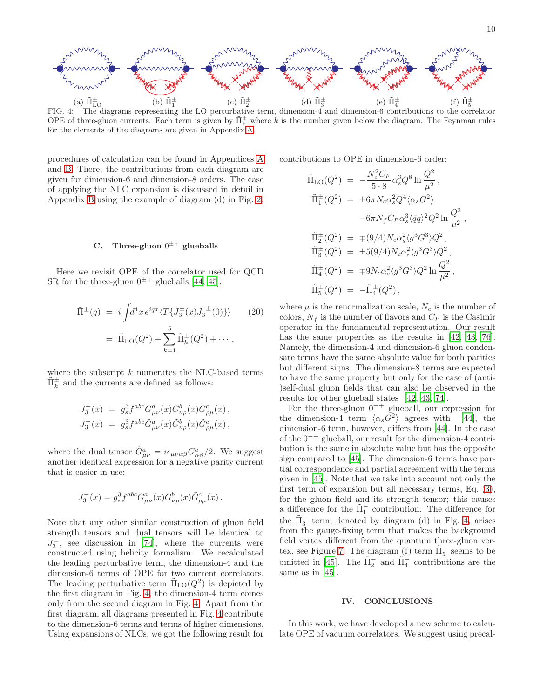10



<span id="page-9-1"></span>FIG. 4: The diagrams representing the LO perturbative term, dimension-4 and dimension-6 contributions to the correlator OPE of three-gluon currents. Each term is given by  $\tilde{\Pi}^{\pm}_k$  where k is the number given below the diagram. The Feynman rules for the elements of the diagrams are given in Appendix [A.](#page-10-0)

procedures of calculation can be found in Appendices [A](#page-10-0) and [B.](#page-11-0) There, the contributions from each diagram are given for dimension-6 and dimension-8 orders. The case of applying the NLC expansion is discussed in detail in Appendix [B](#page-11-0) using the example of diagram (d) in Fig. [2.](#page-8-1)

# C. Three-gluon  $0^{\pm +}$  glueballs

Here we revisit OPE of the correlator used for QCD SR for the three-gluon  $0^{\pm +}$  glueballs [\[44](#page-14-21), [45](#page-14-11)]:

$$
\tilde{\Pi}^{\pm}(q) = i \int d^4x \, e^{iqx} \langle T \{ J_3^{\pm}(x) J_3^{\dagger \pm}(0) \} \rangle \qquad (20)
$$
\n
$$
= \tilde{\Pi}_{\text{LO}}(Q^2) + \sum_{k=1}^5 \tilde{\Pi}_k^{\pm}(Q^2) + \cdots ,
$$

where the subscript  $k$  numerates the NLC-based terms  $\tilde{\Pi}_{k}^{\pm}$  and the currents are defined as follows:

$$
\begin{array}{lll} J_3^+(x) & = & g_s^3 f^{abc} G^a_{\mu\nu}(x) G^b_{\nu\rho}(x) G^c_{\rho\mu}(x) \, , \\[2mm] J_3^-(x) & = & g_s^3 f^{abc} \tilde{G}^a_{\mu\nu}(x) \tilde{G}^b_{\nu\rho}(x) \tilde{G}^c_{\rho\mu}(x) \, , \end{array}
$$

where the dual tensor  $\tilde{G}^a_{\mu\nu} = i\epsilon_{\mu\nu\alpha\beta} G^a_{\alpha\beta}/2$ . We suggest another identical expression for a negative parity current that is easier in use:

$$
J_3^-(x) = g_s^3 f^{abc} G^a_{\mu\nu}(x) G^b_{\nu\rho}(x) \tilde G^c_{\rho\mu}(x) \, .
$$

Note that any other similar construction of gluon field strength tensors and dual tensors will be identical to  $J_3^{\pm}$ , see discussion in [\[74](#page-15-8)], where the currents were constructed using helicity formalism. We recalculated the leading perturbative term, the dimension-4 and the dimension-6 terms of OPE for two current correlators. The leading perturbative term  $\tilde{\Pi}_{LO}(Q^2)$  is depicted by the first diagram in Fig. [4,](#page-9-1) the dimension-4 term comes only from the second diagram in Fig. [4.](#page-9-1) Apart from the first diagram, all diagrams presented in Fig. [4](#page-9-1) contribute to the dimension-6 terms and terms of higher dimensions. Using expansions of NLCs, we got the following result for

contributions to OPE in dimension-6 order:

$$
\tilde{\Pi}_{LO}(Q^2) = -\frac{N_c^2 C_F}{5 \cdot 8} \alpha_s^3 Q^8 \ln \frac{Q^2}{\mu^2}, \n\tilde{\Pi}_1^{\pm}(Q^2) = \pm 6\pi N_c \alpha_s^2 Q^4 \langle \alpha_s G^2 \rangle \n-6\pi N_f C_F \alpha_s^3 \langle \bar{q}q \rangle^2 Q^2 \ln \frac{Q^2}{\mu^2}, \n\tilde{\Pi}_2^{\pm}(Q^2) = \mp (9/4) N_c \alpha_s^2 \langle g^3 G^3 \rangle Q^2, \n\tilde{\Pi}_3^{\pm}(Q^2) = \pm 5(9/4) N_c \alpha_s^2 \langle g^3 G^3 \rangle Q^2, \n\tilde{\Pi}_4^{\pm}(Q^2) = \mp 9 N_c \alpha_s^2 \langle g^3 G^3 \rangle Q^2 \ln \frac{Q^2}{\mu^2}, \n\tilde{\Pi}_5^{\pm}(Q^2) = -\tilde{\Pi}_4^{\pm}(Q^2),
$$

where  $\mu$  is the renormalization scale,  $N_c$  is the number of colors,  $N_f$  is the number of flavors and  $C_F$  is the Casimir operator in the fundamental representation. Our result has the same properties as the results in [\[42,](#page-14-10) [43](#page-14-19), [76\]](#page-15-9). Namely, the dimension-4 and dimension-6 gluon condensate terms have the same absolute value for both parities but different signs. The dimension-8 terms are expected to have the same property but only for the case of (anti- )self-dual gluon fields that can also be observed in the results for other glueball states [\[42,](#page-14-10) [43,](#page-14-19) [74\]](#page-15-8).

For the three-gluon  $0^{++}$  glueball, our expression for the dimension-4 term  $\langle \alpha_s G^2 \rangle$  agrees with [\[44\]](#page-14-21), the dimension-6 term, however, differs from [\[44](#page-14-21)]. In the case of the 0<sup>−</sup><sup>+</sup> glueball, our result for the dimension-4 contribution is the same in absolute value but has the opposite sign compared to [\[45\]](#page-14-11). The dimension-6 terms have partial correspondence and partial agreement with the terms given in [\[45\]](#page-14-11). Note that we take into account not only the first term of expansion but all necessary terms, Eq. [\(3\)](#page-1-3), for the gluon field and its strength tensor; this causes a difference for the  $\tilde{\Pi}_1^-$  contribution. The difference for the  $\tilde{\Pi}_{3}^{-}$  term, denoted by diagram (d) in Fig. [4,](#page-9-1) arises from the gauge-fixing term that makes the background field vertex different from the quantum three-gluon ver-tex, see Figure [7.](#page-12-0) The diagram (f) term  $\tilde{\Pi}_{5}^{-}$  seems to be omitted in [\[45\]](#page-14-11). The  $\tilde{\Pi}_2^-$  and  $\tilde{\Pi}_4^-$  contributions are the same as in [\[45\]](#page-14-11).

### <span id="page-9-0"></span>IV. CONCLUSIONS

In this work, we have developed a new scheme to calculate OPE of vacuum correlators. We suggest using precal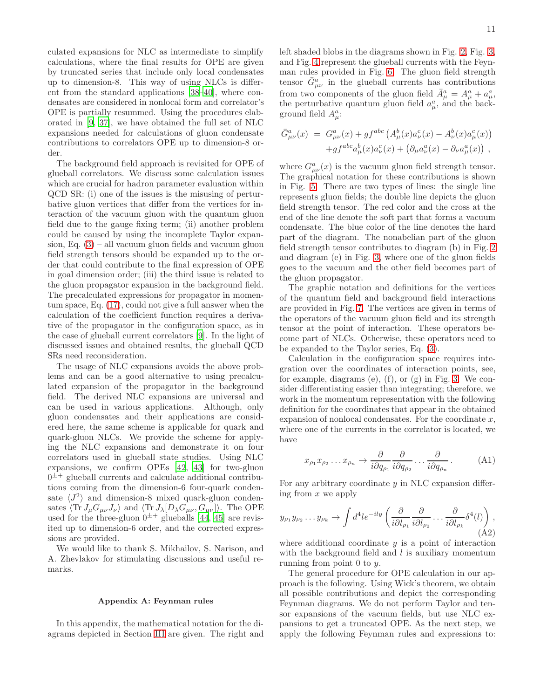culated expansions for NLC as intermediate to simplify calculations, where the final results for OPE are given by truncated series that include only local condensates up to dimension-8. This way of using NLCs is different from the standard applications [\[38](#page-14-7)[–40\]](#page-14-8), where condensates are considered in nonlocal form and correlator's OPE is partially resummed. Using the procedures elaborated in [\[9,](#page-13-6) [37\]](#page-14-6), we have obtained the full set of NLC expansions needed for calculations of gluon condensate contributions to correlators OPE up to dimension-8 order.

The background field approach is revisited for OPE of glueball correlators. We discuss some calculation issues which are crucial for hadron parameter evaluation within QCD SR: (i) one of the issues is the misusing of perturbative gluon vertices that differ from the vertices for interaction of the vacuum gluon with the quantum gluon field due to the gauge fixing term; (ii) another problem could be caused by using the incomplete Taylor expansion, Eq.  $(3)$  – all vacuum gluon fields and vacuum gluon field strength tensors should be expanded up to the order that could contribute to the final expression of OPE in goal dimension order; (iii) the third issue is related to the gluon propagator expansion in the background field. The precalculated expressions for propagator in momentum space, Eq. [\(17\)](#page-7-0), could not give a full answer when the calculation of the coefficient function requires a derivative of the propagator in the configuration space, as in the case of glueball current correlators [\[9\]](#page-13-6). In the light of discussed issues and obtained results, the glueball QCD SRs need reconsideration.

The usage of NLC expansions avoids the above problems and can be a good alternative to using precalculated expansion of the propagator in the background field. The derived NLC expansions are universal and can be used in various applications. Although, only gluon condensates and their applications are considered here, the same scheme is applicable for quark and quark-gluon NLCs. We provide the scheme for applying the NLC expansions and demonstrate it on four correlators used in glueball state studies. Using NLC expansions, we confirm OPEs [\[42,](#page-14-10) [43\]](#page-14-19) for two-gluon  $0^{\pm +}$  glueball currents and calculate additional contributions coming from the dimension-6 four-quark condensate  $\langle J^2 \rangle$  and dimension-8 mixed quark-gluon condensates  $\langle \text{Tr} J_\mu G_{\mu\nu} J_\nu \rangle$  and  $\langle \text{Tr} J_\lambda [D_\lambda G_{\mu\nu} , G_{\mu\nu} ] \rangle$ . The OPE used for the three-gluon  $0^{\pm +}$  glueballs [\[44,](#page-14-21) [45\]](#page-14-11) are revisited up to dimension-6 order, and the corrected expressions are provided.

We would like to thank S. Mikhailov, S. Narison, and A. Zhevlakov for stimulating discussions and useful remarks.

#### <span id="page-10-0"></span>Appendix A: Feynman rules

In this appendix, the mathematical notation for the diagrams depicted in Section [III](#page-5-0) are given. The right and left shaded blobs in the diagrams shown in Fig. [2,](#page-8-1) Fig. [3,](#page-8-2) and Fig. [4](#page-9-1) represent the glueball currents with the Feynman rules provided in Fig. [6.](#page-11-1) The gluon field strength tensor  $\bar{G}^a_{\mu\nu}$  in the glueball currents has contributions from two components of the gluon field  $\bar{A}^a_\mu = A^a_\mu + a^a_\mu$ , the perturbative quantum gluon field  $a^a_\mu$ , and the background field  $A^a_\mu$ :

$$
\bar{G}^{a}_{\mu\nu}(x) = G^{a}_{\mu\nu}(x) + gf^{abc} (A^{b}_{\mu}(x)a^{c}_{\nu}(x) - A^{b}_{\nu}(x)a^{c}_{\mu}(x)) + gf^{abc} a^{b}_{\mu}(x)a^{c}_{\nu}(x) + (\partial_{\mu}a^{a}_{\nu}(x) - \partial_{\nu}a^{a}_{\mu}(x)) ,
$$

where  $G_{\mu\nu}^a(x)$  is the vacuum gluon field strength tensor. The graphical notation for these contributions is shown in Fig. [5.](#page-11-2) There are two types of lines: the single line represents gluon fields; the double line depicts the gluon field strength tensor. The red color and the cross at the end of the line denote the soft part that forms a vacuum condensate. The blue color of the line denotes the hard part of the diagram. The nonabelian part of the gluon field strength tensor contributes to diagram (b) in Fig. [2](#page-8-1) and diagram (e) in Fig. [3,](#page-8-2) where one of the gluon fields goes to the vacuum and the other field becomes part of the gluon propagator.

The graphic notation and definitions for the vertices of the quantum field and background field interactions are provided in Fig. [7.](#page-12-0) The vertices are given in terms of the operators of the vacuum gluon field and its strength tensor at the point of interaction. These operators become part of NLCs. Otherwise, these operators need to be expanded to the Taylor series, Eq. [\(3\)](#page-1-3).

Calculation in the configuration space requires integration over the coordinates of interaction points, see, for example, diagrams  $(e)$ ,  $(f)$ , or  $(g)$  in Fig. [3.](#page-8-2) We consider differentiating easier than integrating; therefore, we work in the momentum representation with the following definition for the coordinates that appear in the obtained expansion of nonlocal condensates. For the coordinate  $x$ , where one of the currents in the correlator is located, we have

<span id="page-10-1"></span>
$$
x_{\rho_1} x_{\rho_2} \dots x_{\rho_n} \to \frac{\partial}{i \partial q_{\rho_1}} \frac{\partial}{i \partial q_{\rho_2}} \dots \frac{\partial}{i \partial q_{\rho_n}}.
$$
 (A1)

For any arbitrary coordinate  $y$  in NLC expansion differing from  $x$  we apply

<span id="page-10-2"></span>
$$
y_{\rho_1} y_{\rho_2} \dots y_{\rho_k} \to \int d^4 l e^{-ily} \left( \frac{\partial}{i \partial l_{\rho_1}} \frac{\partial}{i \partial l_{\rho_2}} \dots \frac{\partial}{i \partial l_{\rho_k}} \delta^4(l) \right), \tag{A2}
$$

where additional coordinate  $y$  is a point of interaction with the background field and  $l$  is auxiliary momentum running from point 0 to y.

The general procedure for OPE calculation in our approach is the following. Using Wick's theorem, we obtain all possible contributions and depict the corresponding Feynman diagrams. We do not perform Taylor and tensor expansions of the vacuum fields, but use NLC expansions to get a truncated OPE. As the next step, we apply the following Feynman rules and expressions to: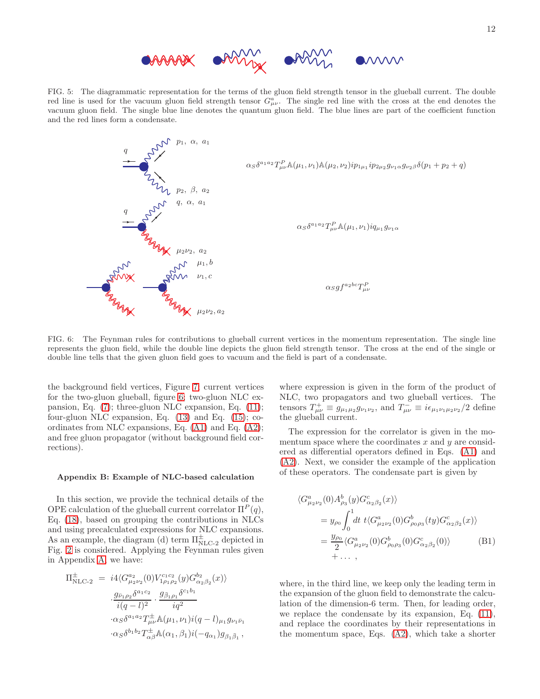

<span id="page-11-2"></span>FIG. 5: The diagrammatic representation for the terms of the gluon field strength tensor in the glueball current. The double red line is used for the vacuum gluon field strength tensor  $G^a_{\mu\nu}$ . The single red line with the cross at the end denotes the vacuum gluon field. The single blue line denotes the quantum gluon field. The blue lines are part of the coefficient function and the red lines form a condensate.



<span id="page-11-1"></span>FIG. 6: The Feynman rules for contributions to glueball current vertices in the momentum representation. The single line represents the gluon field, while the double line depicts the gluon field strength tensor. The cross at the end of the single or double line tells that the given gluon field goes to vacuum and the field is part of a condensate.

the background field vertices, Figure [7;](#page-12-0) current vertices for the two-gluon glueball, figure [6;](#page-11-1) two-gluon NLC expansion, Eq. [\(7\)](#page-2-1); three-gluon NLC expansion, Eq. [\(11\)](#page-4-1); four-gluon NLC expansion, Eq. [\(13\)](#page-5-1) and Eq. [\(15\)](#page-5-3); coordinates from NLC expansions, Eq. [\(A1\)](#page-10-1) and Eq. [\(A2\)](#page-10-2); and free gluon propagator (without background field corrections).

#### <span id="page-11-0"></span>Appendix B: Example of NLC-based calculation

In this section, we provide the technical details of the OPE calculation of the glueball current correlator  $\Pi^P(q)$ , Eq. [\(18\)](#page-7-2), based on grouping the contributions in NLCs and using precalculated expressions for NLC expansions. As an example, the diagram (d) term  $\Pi_{\text{NLC-2}}^{\pm}$  depicted in Fig. [2](#page-8-1) is considered. Applying the Feynman rules given in Appendix [A,](#page-10-0) we have:

$$
\Pi_{\text{NLC-2}}^{\pm} = i4 \langle G_{\mu_2 \nu_2}^{a_2}(0) V_{1 \rho_1 \rho_2}^{c_1 c_2}(y) G_{\alpha_2 \beta_2}^{b_2}(x) \rangle
$$

$$
\frac{g_{\bar{\nu}_1 \rho_2} \delta^{a_1 c_2}}{i(q-l)^2} \cdot \frac{g_{\bar{\beta}_1 \rho_1} \delta^{c_1 b_1}}{iq^2}
$$

$$
\cdot \alpha_S \delta^{a_1 a_2} T_{\mu\nu}^{\pm} \mathbb{A}(\mu_1, \nu_1) i(q-l)_{\mu_1} g_{\nu_1 \bar{\nu}_1}
$$

$$
\cdot \alpha_S \delta^{b_1 b_2} T_{\alpha \beta}^{\pm} \mathbb{A}(\alpha_1, \beta_1) i(-q_{\alpha_1}) g_{\beta_1 \bar{\beta}_1},
$$

where expression is given in the form of the product of NLC, two propagators and two glueball vertices. The tensors  $T^+_{\mu\nu} \equiv g_{\mu_1\mu_2}g_{\nu_1\nu_2}$ , and  $T^-_{\mu\nu} \equiv i\epsilon_{\mu_1\nu_1\mu_2\nu_2}/2$  define the glueball current.

The expression for the correlator is given in the momentum space where the coordinates  $x$  and  $y$  are considered as differential operators defined in Eqs. [\(A1\)](#page-10-1) and [\(A2\)](#page-10-2). Next, we consider the example of the application of these operators. The condensate part is given by

<span id="page-11-3"></span>
$$
\langle G_{\mu_2\nu_2}^a(0) A_{\rho_3}^b(y) G_{\alpha_2\beta_2}^c(x) \rangle
$$
  
=  $y_{\rho_0} \int_0^1 dt \ t \langle G_{\mu_2\nu_2}^a(0) G_{\rho_0\rho_3}^b(ty) G_{\alpha_2\beta_2}^c(x) \rangle$   
=  $\frac{y_{\rho_0}}{2} \langle G_{\mu_2\nu_2}^a(0) G_{\rho_0\rho_3}^b(0) G_{\alpha_2\beta_2}^c(0) \rangle$  (B1)  
+ ... ,

where, in the third line, we keep only the leading term in the expansion of the gluon field to demonstrate the calculation of the dimension-6 term. Then, for leading order, we replace the condensate by its expansion, Eq. [\(11\)](#page-4-1), and replace the coordinates by their representations in the momentum space, Eqs. [\(A2\)](#page-10-2), which take a shorter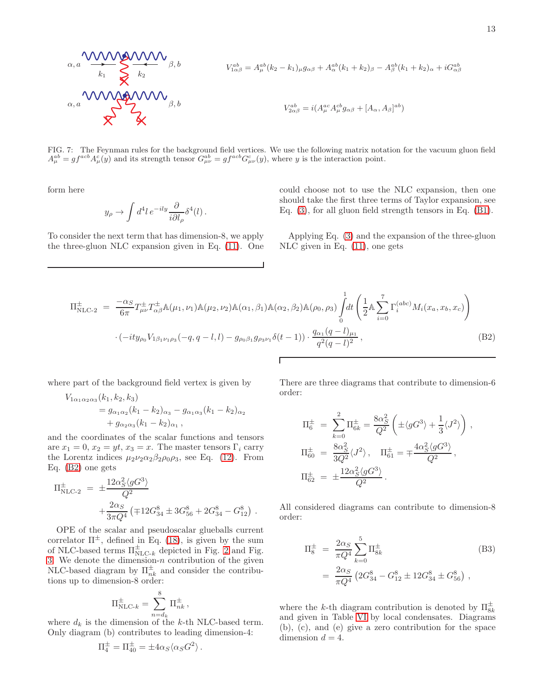$$
\alpha, a \frac{\text{WWHM}}{k_1} \sum_{k_2}^{k_2} \sum_{k_3}^{k_4} \beta, b
$$
\n
$$
V_{1\alpha\beta}^{ab} = A_{\mu}^{ab}(k_2 - k_1)_{\mu}g_{\alpha\beta} + A_{\alpha}^{ab}(k_1 + k_2)_{\beta} - A_{\beta}^{ab}(k_1 + k_2)_{\alpha} + iG_{\alpha\beta}^{ab}
$$
\n
$$
\alpha, a \frac{\text{WWHM}}{k_1} \sum_{k_2}^{k_2} \beta, b
$$
\n
$$
V_{2\alpha\beta}^{ab} = i(A_{\mu}^{ac} A_{\mu}^{cb} g_{\alpha\beta} + [A_{\alpha}, A_{\beta}]^{ab})
$$

<span id="page-12-0"></span>FIG. 7: The Feynman rules for the background field vertices. We use the following matrix notation for the vacuum gluon field  $A_{\mu}^{ab} = gf^{acb}A_{\mu}^c(y)$  and its strength tensor  $G_{\mu\nu}^{ab} = gf^{acb}G_{\mu\nu}^c(y)$ , where y is the interaction point.

form here

$$
y_{\rho} \to \int d^4l \, e^{-ily} \frac{\partial}{i\partial l_{\rho}} \delta^4(l) \, .
$$

To consider the next term that has dimension-8, we apply the three-gluon NLC expansion given in Eq. [\(11\)](#page-4-1). One could choose not to use the NLC expansion, then one should take the first three terms of Taylor expansion, see Eq. [\(3\)](#page-1-3), for all gluon field strength tensors in Eq. [\(B1\)](#page-11-3).

Applying Eq. [\(3\)](#page-1-2) and the expansion of the three-gluon NLC given in Eq. [\(11\)](#page-4-1), one gets

<span id="page-12-1"></span>
$$
\Pi_{\text{NLC-2}}^{\pm} = \frac{-\alpha_S}{6\pi} T_{\mu\nu}^{\pm} T_{\alpha\beta}^{\pm} \mathbb{A}(\mu_1, \nu_1) \mathbb{A}(\mu_2, \nu_2) \mathbb{A}(\alpha_1, \beta_1) \mathbb{A}(\alpha_2, \beta_2) \mathbb{A}(\rho_0, \rho_3) \int_0^1 dt \left( \frac{1}{2} \mathbb{A} \sum_{i=0}^7 \Gamma_i^{(abc)} M_i(x_a, x_b, x_c) \right)
$$

$$
\cdot (-ity_{\rho_0} V_{1\beta_1 \nu_1 \rho_3}(-q, q-l, l) - g_{\rho_0 \beta_1} g_{\rho_3 \nu_1} \delta(t-1)) \cdot \frac{q_{\alpha_1} (q-l)_{\mu_1}}{q^2 (q-l)^2}, \tag{B2}
$$

Г

where part of the background field vertex is given by

$$
V_{1\alpha_1\alpha_2\alpha_3}(k_1, k_2, k_3)
$$
  
=  $g_{\alpha_1\alpha_2}(k_1 - k_2)_{\alpha_3} - g_{\alpha_1\alpha_3}(k_1 - k_2)_{\alpha_2}$   
+  $g_{\alpha_2\alpha_3}(k_1 - k_2)_{\alpha_1}$ ,

and the coordinates of the scalar functions and tensors are  $x_1 = 0$ ,  $x_2 = yt$ ,  $x_3 = x$ . The master tensors  $\Gamma_i$  carry the Lorentz indices  $\mu_2\nu_2\alpha_2\beta_2\rho_0\rho_3$ , see Eq. [\(12\)](#page-4-2). From Eq. [\(B2\)](#page-12-1) one gets

$$
\Pi_{\text{NLC-2}}^{\pm} = \pm \frac{12\alpha_S^2 \langle gG^3 \rangle}{Q^2} \n+ \frac{2\alpha_S}{3\pi Q^4} \left( \mp 12G_{34}^8 \pm 3G_{56}^8 + 2G_{34}^8 - G_{12}^8 \right).
$$

OPE of the scalar and pseudoscalar glueballs current correlator  $\Pi^{\pm}$ , defined in Eq. [\(18\)](#page-7-2), is given by the sum of NLC-based terms  $\Pi_{\text{NLC-}k}^{\pm}$  depicted in Fig. [2](#page-8-1) and Fig. [3.](#page-8-2) We denote the dimension- $n$  contribution of the given NLC-based diagram by  $\Pi_{nk}^{\pm}$  and consider the contributions up to dimension-8 order:

$$
\Pi_{\mathrm{NLC-}k}^{\pm} = \sum_{n=d_k}^{8} \Pi_{nk}^{\pm},
$$

where  $d_k$  is the dimension of the k-th NLC-based term. Only diagram (b) contributes to leading dimension-4:

$$
\Pi_4^{\pm} = \Pi_{40}^{\pm} = \pm 4\alpha_S \langle \alpha_S G^2 \rangle.
$$

There are three diagrams that contribute to dimension-6 order:

,

$$
\Pi_6^{\pm} = \sum_{k=0}^{2} \Pi_{6k}^{\pm} = \frac{8\alpha_S^2}{Q^2} \left( \pm \langle gG^3 \rangle + \frac{1}{3} \langle J^2 \rangle \right)
$$
  
\n
$$
\Pi_{60}^{\pm} = \frac{8\alpha_S^2}{3Q^2} \langle J^2 \rangle, \quad \Pi_{61}^{\pm} = \mp \frac{4\alpha_S^2 \langle gG^3 \rangle}{Q^2},
$$
  
\n
$$
\Pi_{62}^{\pm} = \pm \frac{12\alpha_S^2 \langle gG^3 \rangle}{Q^2}.
$$

All considered diagrams can contribute to dimension-8 order:

<span id="page-12-2"></span>
$$
\Pi_8^{\pm} = \frac{2\alpha_S}{\pi Q^4} \sum_{k=0}^5 \Pi_{8k}^{\pm}
$$
\n
$$
= \frac{2\alpha_S}{\pi Q^4} \left( 2G_{34}^8 - G_{12}^8 \pm 12G_{34}^8 \pm G_{56}^8 \right),
$$
\n(B3)

where the k-th diagram contribution is denoted by  $\Pi_{8k}^{\pm}$ and given in Table [VI](#page-13-8) by local condensates. Diagrams (b), (c), and (e) give a zero contribution for the space dimension  $d = 4$ .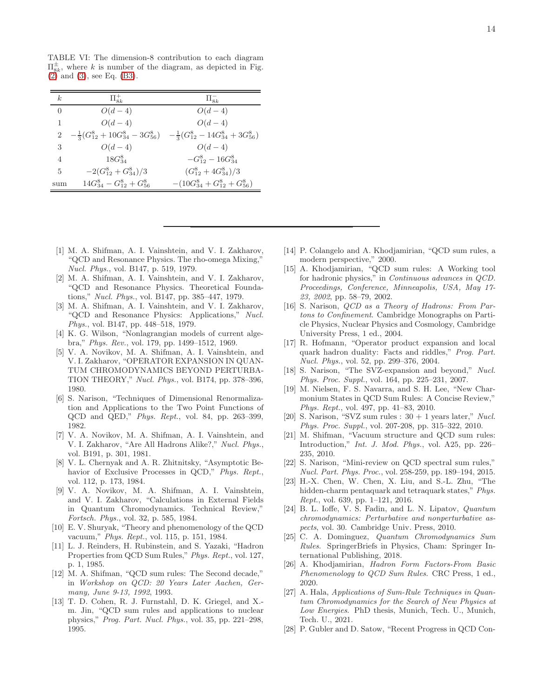<span id="page-13-8"></span>TABLE VI: The dimension-8 contribution to each diagram  $\Pi_{8k}^{\pm}$ , where k is number of the diagram, as depicted in Fig. [\(2\)](#page-8-1) and [\(3\)](#page-8-2), see Eq. [\(B3\)](#page-12-2).

| k                           | $\Pi_{\alpha k}^+$                                                                        | $\Pi_{8k}^-$                      |
|-----------------------------|-------------------------------------------------------------------------------------------|-----------------------------------|
| $\Omega$                    | $O(d-4)$                                                                                  | $O(d-4)$                          |
| 1                           | $O(d-4)$                                                                                  | $O(d-4)$                          |
| $\mathcal{D}_{\mathcal{L}}$ | $-\frac{1}{3}(G_{12}^8+10G_{34}^8-3G_{56}^8) -\frac{1}{3}(G_{12}^8-14G_{34}^8+3G_{56}^8)$ |                                   |
| 3                           | $O(d-4)$                                                                                  | $O(d-4)$                          |
| 4                           | $18G_{34}^8$                                                                              | $-G_{12}^8 - 16G_{34}^8$          |
| 5                           | $-2(G_{12}^8+G_{34}^8)/3$                                                                 | $(G_{12}^8+4G_{34}^8)/3$          |
| sum                         | $14G_{34}^8 - G_{12}^8 + G_{56}^8$                                                        | $-(10G_{34}^8+G_{12}^8+G_{56}^8)$ |

- <span id="page-13-0"></span>[1] M. A. Shifman, A. I. Vainshtein, and V. I. Zakharov, "QCD and Resonance Physics. The rho-omega Mixing," *Nucl. Phys.*, vol. B147, p. 519, 1979.
- [2] M. A. Shifman, A. I. Vainshtein, and V. I. Zakharov, "QCD and Resonance Physics. Theoretical Foundations," *Nucl. Phys.*, vol. B147, pp. 385–447, 1979.
- <span id="page-13-1"></span>[3] M. A. Shifman, A. I. Vainshtein, and V. I. Zakharov, "QCD and Resonance Physics: Applications," *Nucl. Phys.*, vol. B147, pp. 448–518, 1979.
- <span id="page-13-2"></span>[4] K. G. Wilson, "Nonlagrangian models of current algebra," *Phys. Rev.*, vol. 179, pp. 1499–1512, 1969.
- <span id="page-13-3"></span>[5] V. A. Novikov, M. A. Shifman, A. I. Vainshtein, and V. I. Zakharov, "OPERATOR EXPANSION IN QUAN-TUM CHROMODYNAMICS BEYOND PERTURBA-TION THEORY," *Nucl. Phys.*, vol. B174, pp. 378–396, 1980.
- [6] S. Narison, "Techniques of Dimensional Renormalization and Applications to the Two Point Functions of QCD and QED," *Phys. Rept.*, vol. 84, pp. 263–399, 1982.
- <span id="page-13-7"></span>[7] V. A. Novikov, M. A. Shifman, A. I. Vainshtein, and V. I. Zakharov, "Are All Hadrons Alike?," *Nucl. Phys.*, vol. B191, p. 301, 1981.
- [8] V. L. Chernyak and A. R. Zhitnitsky, "Asymptotic Behavior of Exclusive Processes in QCD," *Phys. Rept.*, vol. 112, p. 173, 1984.
- <span id="page-13-6"></span>[9] V. A. Novikov, M. A. Shifman, A. I. Vainshtein, and V. I. Zakharov, "Calculations in External Fields in Quantum Chromodynamics. Technical Review," *Fortsch. Phys.*, vol. 32, p. 585, 1984.
- [10] E. V. Shuryak, "Theory and phenomenology of the QCD vacuum," *Phys. Rept.*, vol. 115, p. 151, 1984.
- [11] L. J. Reinders, H. Rubinstein, and S. Yazaki, "Hadron Properties from QCD Sum Rules," *Phys. Rept.*, vol. 127, p. 1, 1985.
- [12] M. A. Shifman, "QCD sum rules: The Second decade," in *Workshop on QCD: 20 Years Later Aachen, Germany, June 9-13, 1992*, 1993.
- [13] T. D. Cohen, R. J. Furnstahl, D. K. Griegel, and X.m. Jin, "QCD sum rules and applications to nuclear physics," *Prog. Part. Nucl. Phys.*, vol. 35, pp. 221–298, 1995.
- [14] P. Colangelo and A. Khodjamirian, "QCD sum rules, a modern perspective," 2000.
- [15] A. Khodjamirian, "QCD sum rules: A Working tool for hadronic physics," in *Continuous advances in QCD. Proceedings, Conference, Minneapolis, USA, May 17- 23, 2002*, pp. 58–79, 2002.
- [16] S. Narison, *QCD as a Theory of Hadrons: From Partons to Confinement*. Cambridge Monographs on Particle Physics, Nuclear Physics and Cosmology, Cambridge University Press, 1 ed., 2004.
- [17] R. Hofmann, "Operator product expansion and local quark hadron duality: Facts and riddles," *Prog. Part. Nucl. Phys.*, vol. 52, pp. 299–376, 2004.
- [18] S. Narison, "The SVZ-expansion and beyond," *Nucl. Phys. Proc. Suppl.*, vol. 164, pp. 225–231, 2007.
- [19] M. Nielsen, F. S. Navarra, and S. H. Lee, "New Charmonium States in QCD Sum Rules: A Concise Review," *Phys. Rept.*, vol. 497, pp. 41–83, 2010.
- [20] S. Narison, "SVZ sum rules : 30 + 1 years later," *Nucl. Phys. Proc. Suppl.*, vol. 207-208, pp. 315–322, 2010.
- [21] M. Shifman, "Vacuum structure and QCD sum rules: Introduction," *Int. J. Mod. Phys.*, vol. A25, pp. 226– 235, 2010.
- [22] S. Narison, "Mini-review on QCD spectral sum rules," *Nucl. Part. Phys. Proc.*, vol. 258-259, pp. 189–194, 2015.
- [23] H.-X. Chen, W. Chen, X. Liu, and S.-L. Zhu, "The hidden-charm pentaquark and tetraquark states," *Phys. Rept.*, vol. 639, pp. 1–121, 2016.
- [24] B. L. Ioffe, V. S. Fadin, and L. N. Lipatov, *Quantum chromodynamics: Perturbative and nonperturbative aspects*, vol. 30. Cambridge Univ. Press, 2010.
- [25] C. A. Dominguez, *Quantum Chromodynamics Sum Rules*. SpringerBriefs in Physics, Cham: Springer International Publishing, 2018.
- [26] A. Khodjamirian, *Hadron Form Factors-From Basic Phenomenology to QCD Sum Rules*. CRC Press, 1 ed., 2020.
- <span id="page-13-4"></span>[27] A. Hala, *Applications of Sum-Rule Techniques in Quantum Chromodynamics for the Search of New Physics at Low Energies*. PhD thesis, Munich, Tech. U., Munich, Tech. U., 2021.
- <span id="page-13-5"></span>[28] P. Gubler and D. Satow, "Recent Progress in QCD Con-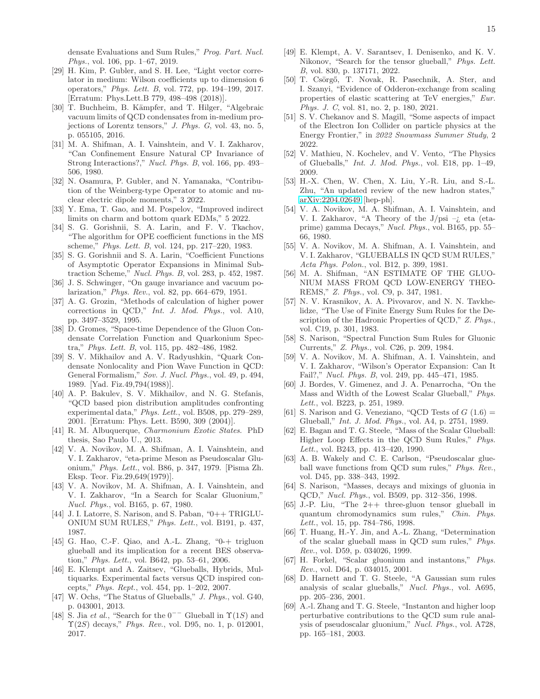densate Evaluations and Sum Rules," *Prog. Part. Nucl. Phys.*, vol. 106, pp. 1–67, 2019.

- [29] H. Kim, P. Gubler, and S. H. Lee, "Light vector correlator in medium: Wilson coefficients up to dimension 6 operators," *Phys. Lett. B*, vol. 772, pp. 194–199, 2017. [Erratum: Phys.Lett.B 779, 498–498 (2018)].
- <span id="page-14-0"></span>[30] T. Buchheim, B. Kämpfer, and T. Hilger, "Algebraic vacuum limits of QCD condensates from in-medium projections of Lorentz tensors," *J. Phys. G*, vol. 43, no. 5, p. 055105, 2016.
- <span id="page-14-1"></span>[31] M. A. Shifman, A. I. Vainshtein, and V. I. Zakharov, "Can Confinement Ensure Natural CP Invariance of Strong Interactions?," *Nucl. Phys. B*, vol. 166, pp. 493– 506, 1980.
- [32] N. Osamura, P. Gubler, and N. Yamanaka, "Contribution of the Weinberg-type Operator to atomic and nuclear electric dipole moments," 3 2022.
- <span id="page-14-2"></span>[33] Y. Ema, T. Gao, and M. Pospelov, "Improved indirect limits on charm and bottom quark EDMs," 5 2022.
- <span id="page-14-3"></span>[34] S. G. Gorishnii, S. A. Larin, and F. V. Tkachov, "The algorithm for OPE coefficient functions in the MS scheme," *Phys. Lett. B*, vol. 124, pp. 217–220, 1983.
- <span id="page-14-4"></span>[35] S. G. Gorishnii and S. A. Larin, "Coefficient Functions of Asymptotic Operator Expansions in Minimal Subtraction Scheme," *Nucl. Phys. B*, vol. 283, p. 452, 1987.
- <span id="page-14-5"></span>[36] J. S. Schwinger, "On gauge invariance and vacuum polarization," *Phys. Rev.*, vol. 82, pp. 664–679, 1951.
- <span id="page-14-6"></span>[37] A. G. Grozin, "Methods of calculation of higher power corrections in QCD," *Int. J. Mod. Phys.*, vol. A10, pp. 3497–3529, 1995.
- <span id="page-14-7"></span>[38] D. Gromes, "Space-time Dependence of the Gluon Condensate Correlation Function and Quarkonium Spectra," *Phys. Lett. B*, vol. 115, pp. 482–486, 1982.
- [39] S. V. Mikhailov and A. V. Radyushkin, "Quark Condensate Nonlocality and Pion Wave Function in QCD: General Formalism," *Sov. J. Nucl. Phys.*, vol. 49, p. 494, 1989. [Yad. Fiz.49,794(1988)].
- <span id="page-14-8"></span>[40] A. P. Bakulev, S. V. Mikhailov, and N. G. Stefanis, "QCD based pion distribution amplitudes confronting experimental data," *Phys. Lett.*, vol. B508, pp. 279–289, 2001. [Erratum: Phys. Lett. B590, 309 (2004)].
- <span id="page-14-9"></span>[41] R. M. Albuquerque, *Charmonium Exotic States*. PhD thesis, Sao Paulo U., 2013.
- <span id="page-14-10"></span>[42] V. A. Novikov, M. A. Shifman, A. I. Vainshtein, and V. I. Zakharov, "eta-prime Meson as Pseudoscalar Gluonium," *Phys. Lett.*, vol. B86, p. 347, 1979. [Pisma Zh. Eksp. Teor. Fiz.29,649(1979)].
- <span id="page-14-19"></span>[43] V. A. Novikov, M. A. Shifman, A. I. Vainshtein, and V. I. Zakharov, "In a Search for Scalar Gluonium," *Nucl. Phys.*, vol. B165, p. 67, 1980.
- <span id="page-14-21"></span>[44] J. I. Latorre, S. Narison, and S. Paban, "0++ TRIGLU-ONIUM SUM RULES," *Phys. Lett.*, vol. B191, p. 437, 1987.
- <span id="page-14-11"></span>[45] G. Hao, C.-F. Qiao, and A.-L. Zhang, "0-+ trigluon glueball and its implication for a recent BES observation," *Phys. Lett.*, vol. B642, pp. 53–61, 2006.
- <span id="page-14-12"></span>[46] E. Klempt and A. Zaitsev, "Glueballs, Hybrids, Multiquarks. Experimental facts versus QCD inspired concepts," *Phys. Rept.*, vol. 454, pp. 1–202, 2007.
- <span id="page-14-15"></span>[47] W. Ochs, "The Status of Glueballs," *J. Phys.*, vol. G40, p. 043001, 2013.
- [48] S. Jia *et al.*, "Search for the  $0^{--}$  Glueball in  $\Upsilon(1S)$  and Υ(2S) decays," *Phys. Rev.*, vol. D95, no. 1, p. 012001, 2017.
- [49] E. Klempt, A. V. Sarantsev, I. Denisenko, and K. V. Nikonov, "Search for the tensor glueball," *Phys. Lett. B*, vol. 830, p. 137171, 2022.
- <span id="page-14-13"></span>[50] T. Csörgő, T. Novak, R. Pasechnik, A. Ster, and I. Szanyi, "Evidence of Odderon-exchange from scaling properties of elastic scattering at TeV energies," *Eur. Phys. J. C*, vol. 81, no. 2, p. 180, 2021.
- <span id="page-14-14"></span>[51] S. V. Chekanov and S. Magill, "Some aspects of impact of the Electron Ion Collider on particle physics at the Energy Frontier," in *2022 Snowmass Summer Study*, 2 2022.
- <span id="page-14-16"></span>[52] V. Mathieu, N. Kochelev, and V. Vento, "The Physics of Glueballs," *Int. J. Mod. Phys.*, vol. E18, pp. 1–49, 2009.
- <span id="page-14-17"></span>[53] H.-X. Chen, W. Chen, X. Liu, Y.-R. Liu, and S.-L. Zhu, "An updated review of the new hadron states," [arXiv:2204.02649](http://arxiv.org/abs/2204.02649) [hep-ph].
- <span id="page-14-18"></span>[54] V. A. Novikov, M. A. Shifman, A. I. Vainshtein, and V. I. Zakharov, "A Theory of the J/psi –¿ eta (etaprime) gamma Decays," *Nucl. Phys.*, vol. B165, pp. 55– 66, 1980.
- [55] V. A. Novikov, M. A. Shifman, A. I. Vainshtein, and V. I. Zakharov, "GLUEBALLS IN QCD SUM RULES," *Acta Phys. Polon.*, vol. B12, p. 399, 1981.
- [56] M. A. Shifman, "AN ESTIMATE OF THE GLUO-NIUM MASS FROM QCD LOW-ENERGY THEO-REMS," *Z. Phys.*, vol. C9, p. 347, 1981.
- [57] N. V. Krasnikov, A. A. Pivovarov, and N. N. Tavkhelidze, "The Use of Finite Energy Sum Rules for the Description of the Hadronic Properties of QCD," *Z. Phys.*, vol. C19, p. 301, 1983.
- [58] S. Narison, "Spectral Function Sum Rules for Gluonic Currents," *Z. Phys.*, vol. C26, p. 209, 1984.
- [59] V. A. Novikov, M. A. Shifman, A. I. Vainshtein, and V. I. Zakharov, "Wilson's Operator Expansion: Can It Fail?," *Nucl. Phys. B*, vol. 249, pp. 445–471, 1985.
- [60] J. Bordes, V. Gimenez, and J. A. Penarrocha, "On the Mass and Width of the Lowest Scalar Glueball," *Phys. Lett.*, vol. B223, p. 251, 1989.
- [61] S. Narison and G. Veneziano, "QCD Tests of  $G(1.6)$  = Glueball," *Int. J. Mod. Phys.*, vol. A4, p. 2751, 1989.
- [62] E. Bagan and T. G. Steele, "Mass of the Scalar Glueball: Higher Loop Effects in the QCD Sum Rules," *Phys. Lett.*, vol. B243, pp. 413–420, 1990.
- [63] A. B. Wakely and C. E. Carlson, "Pseudoscalar glueball wave functions from QCD sum rules," *Phys. Rev.*, vol. D45, pp. 338–343, 1992.
- [64] S. Narison, "Masses, decays and mixings of gluonia in QCD," *Nucl. Phys.*, vol. B509, pp. 312–356, 1998.
- <span id="page-14-22"></span>[65] J.-P. Liu, "The 2++ three-gluon tensor glueball in quantum chromodynamics sum rules," *Chin. Phys. Lett.*, vol. 15, pp. 784–786, 1998.
- [66] T. Huang, H.-Y. Jin, and A.-L. Zhang, "Determination of the scalar glueball mass in QCD sum rules," *Phys. Rev.*, vol. D59, p. 034026, 1999.
- [67] H. Forkel, "Scalar gluonium and instantons," *Phys. Rev.*, vol. D64, p. 034015, 2001.
- <span id="page-14-20"></span>[68] D. Harnett and T. G. Steele, "A Gaussian sum rules analysis of scalar glueballs," *Nucl. Phys.*, vol. A695, pp. 205–236, 2001.
- [69] A.-l. Zhang and T. G. Steele, "Instanton and higher loop perturbative contributions to the QCD sum rule analysis of pseudoscalar gluonium," *Nucl. Phys.*, vol. A728, pp. 165–181, 2003.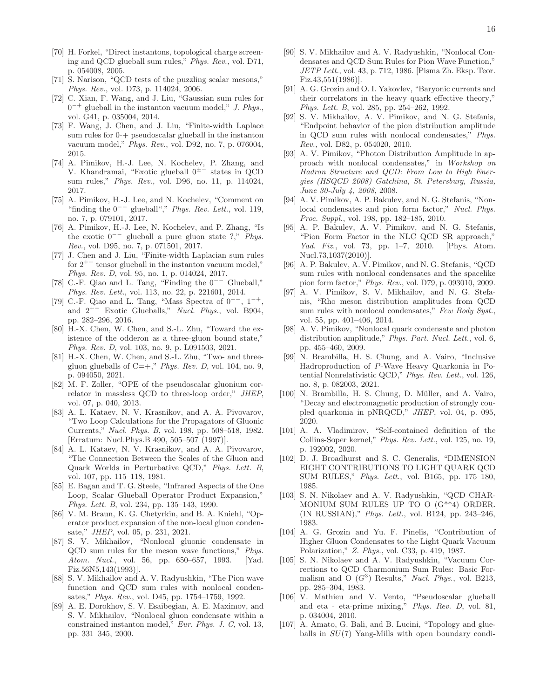- <span id="page-15-1"></span>[70] H. Forkel, "Direct instantons, topological charge screening and QCD glueball sum rules," *Phys. Rev.*, vol. D71, p. 054008, 2005.
- [71] S. Narison, "QCD tests of the puzzling scalar mesons," *Phys. Rev.*, vol. D73, p. 114024, 2006.
- [72] C. Xian, F. Wang, and J. Liu, "Gaussian sum rules for 0 <sup>−</sup><sup>+</sup> glueball in the instanton vacuum model," *J. Phys.*, vol. G41, p. 035004, 2014.
- [73] F. Wang, J. Chen, and J. Liu, "Finite-width Laplace sum rules for 0-+ pseudoscalar glueball in the instanton vacuum model," *Phys. Rev.*, vol. D92, no. 7, p. 076004, 2015.
- <span id="page-15-8"></span>[74] A. Pimikov, H.-J. Lee, N. Kochelev, P. Zhang, and V. Khandramai, "Exotic glueball 0±− states in QCD sum rules," *Phys. Rev.*, vol. D96, no. 11, p. 114024, 2017.
- [75] A. Pimikov, H.-J. Lee, and N. Kochelev, "Comment on "finding the 0−− glueball"," *Phys. Rev. Lett.*, vol. 119, no. 7, p. 079101, 2017.
- <span id="page-15-9"></span>[76] A. Pimikov, H.-J. Lee, N. Kochelev, and P. Zhang, "Is the exotic 0−− glueball a pure gluon state ?," *Phys. Rev.*, vol. D95, no. 7, p. 071501, 2017.
- [77] J. Chen and J. Liu, "Finite-width Laplacian sum rules for  $2^{++}$  tensor glueball in the instanton vacuum model," *Phys. Rev. D*, vol. 95, no. 1, p. 014024, 2017.
- [78] C.-F. Qiao and L. Tang, "Finding the 0−− Glueball," *Phys. Rev. Lett.*, vol. 113, no. 22, p. 221601, 2014.
- [79] C.-F. Qiao and L. Tang, "Mass Spectra of  $0^{+-}$ ,  $1^{-+}$ and 2<sup>+</sup><sup>−</sup> Exotic Glueballs," *Nucl. Phys.*, vol. B904, pp. 282–296, 2016.
- [80] H.-X. Chen, W. Chen, and S.-L. Zhu, "Toward the existence of the odderon as a three-gluon bound state," *Phys. Rev. D*, vol. 103, no. 9, p. L091503, 2021.
- <span id="page-15-0"></span>[81] H.-X. Chen, W. Chen, and S.-L. Zhu, "Two- and threegluon glueballs of  $C=+$ ," *Phys. Rev. D*, vol. 104, no. 9, p. 094050, 2021.
- <span id="page-15-2"></span>[82] M. F. Zoller, "OPE of the pseudoscalar gluonium correlator in massless QCD to three-loop order," *JHEP*, vol. 07, p. 040, 2013.
- <span id="page-15-3"></span>[83] A. L. Kataev, N. V. Krasnikov, and A. A. Pivovarov, "Two Loop Calculations for the Propagators of Gluonic Currents," *Nucl. Phys. B*, vol. 198, pp. 508–518, 1982. [Erratum: Nucl.Phys.B 490, 505–507 (1997)].
- <span id="page-15-4"></span>[84] A. L. Kataev, N. V. Krasnikov, and A. A. Pivovarov, "The Connection Between the Scales of the Gluon and Quark Worlds in Perturbative QCD," *Phys. Lett. B*, vol. 107, pp. 115–118, 1981.
- <span id="page-15-5"></span>[85] E. Bagan and T. G. Steele, "Infrared Aspects of the One Loop, Scalar Glueball Operator Product Expansion," *Phys. Lett. B*, vol. 234, pp. 135–143, 1990.
- <span id="page-15-6"></span>[86] V. M. Braun, K. G. Chetyrkin, and B. A. Kniehl, "Operator product expansion of the non-local gluon condensate," *JHEP*, vol. 05, p. 231, 2021.
- <span id="page-15-7"></span>[87] S. V. Mikhailov, "Nonlocal gluonic condensate in QCD sum rules for the meson wave functions," *Phys. Atom. Nucl.*, vol. 56, pp. 650–657, 1993. [Yad. Fiz.56N5,143(1993)].
- <span id="page-15-10"></span>[88] S. V. Mikhailov and A. V. Radyushkin, "The Pion wave function and QCD sum rules with nonlocal condensates," *Phys. Rev.*, vol. D45, pp. 1754–1759, 1992.
- <span id="page-15-11"></span>[89] A. E. Dorokhov, S. V. Esaibegian, A. E. Maximov, and S. V. Mikhailov, "Nonlocal gluon condensate within a constrained instanton model," *Eur. Phys. J. C*, vol. 13, pp. 331–345, 2000.
- <span id="page-15-12"></span>[90] S. V. Mikhailov and A. V. Radyushkin, "Nonlocal Condensates and QCD Sum Rules for Pion Wave Function," *JETP Lett.*, vol. 43, p. 712, 1986. [Pisma Zh. Eksp. Teor. Fiz.43,551(1986)].
- [91] A. G. Grozin and O. I. Yakovlev, "Baryonic currents and their correlators in the heavy quark effective theory," *Phys. Lett. B*, vol. 285, pp. 254–262, 1992.
- [92] S. V. Mikhailov, A. V. Pimikov, and N. G. Stefanis, "Endpoint behavior of the pion distribution amplitude in QCD sum rules with nonlocal condensates," *Phys. Rev.*, vol. D82, p. 054020, 2010.
- [93] A. V. Pimikov, "Photon Distribution Amplitude in approach with nonlocal condensates," in *Workshop on Hadron Structure and QCD: From Low to High Energies (HSQCD 2008) Gatchina, St. Petersburg, Russia, June 30-July 4, 2008*, 2008.
- [94] A. V. Pimikov, A. P. Bakulev, and N. G. Stefanis, "Nonlocal condensates and pion form factor," *Nucl. Phys. Proc. Suppl.*, vol. 198, pp. 182–185, 2010.
- [95] A. P. Bakulev, A. V. Pimikov, and N. G. Stefanis, "Pion Form Factor in the NLC QCD SR approach," *Yad. Fiz.*, vol. 73, pp. 1–7, 2010. [Phys. Atom. Nucl.73,1037(2010)].
- [96] A. P. Bakulev, A. V. Pimikov, and N. G. Stefanis, "QCD sum rules with nonlocal condensates and the spacelike pion form factor," *Phys. Rev.*, vol. D79, p. 093010, 2009.
- [97] A. V. Pimikov, S. V. Mikhailov, and N. G. Stefanis, "Rho meson distribution amplitudes from QCD sum rules with nonlocal condensates," *Few Body Syst.*, vol. 55, pp. 401–406, 2014.
- <span id="page-15-13"></span>[98] A. V. Pimikov, "Nonlocal quark condensate and photon distribution amplitude," *Phys. Part. Nucl. Lett.*, vol. 6, pp. 455–460, 2009.
- <span id="page-15-14"></span>[99] N. Brambilla, H. S. Chung, and A. Vairo, "Inclusive Hadroproduction of P-Wave Heavy Quarkonia in Potential Nonrelativistic QCD," *Phys. Rev. Lett.*, vol. 126, no. 8, p. 082003, 2021.
- <span id="page-15-15"></span>[100] N. Brambilla, H. S. Chung, D. Müller, and A. Vairo, "Decay and electromagnetic production of strongly coupled quarkonia in pNRQCD," *JHEP*, vol. 04, p. 095, 2020.
- <span id="page-15-16"></span>[101] A. A. Vladimirov, "Self-contained definition of the Collins-Soper kernel," *Phys. Rev. Lett.*, vol. 125, no. 19, p. 192002, 2020.
- <span id="page-15-17"></span>[102] D. J. Broadhurst and S. C. Generalis, "DIMENSION EIGHT CONTRIBUTIONS TO LIGHT QUARK QCD SUM RULES," *Phys. Lett.*, vol. B165, pp. 175–180, 1985.
- <span id="page-15-18"></span>[103] S. N. Nikolaev and A. V. Radyushkin, "QCD CHAR-MONIUM SUM RULES UP TO O (G\*\*4) ORDER. (IN RUSSIAN)," *Phys. Lett.*, vol. B124, pp. 243–246, 1983.
- <span id="page-15-19"></span>[104] A. G. Grozin and Yu. F. Pinelis, "Contribution of Higher Gluon Condensates to the Light Quark Vacuum Polarization," *Z. Phys.*, vol. C33, p. 419, 1987.
- <span id="page-15-20"></span>[105] S. N. Nikolaev and A. V. Radyushkin, "Vacuum Corrections to QCD Charmonium Sum Rules: Basic Formalism and O  $(G^3)$  Results," *Nucl. Phys.*, vol. B213, pp. 285–304, 1983.
- <span id="page-15-21"></span>[106] V. Mathieu and V. Vento, "Pseudoscalar glueball and eta - eta-prime mixing," *Phys. Rev. D*, vol. 81, p. 034004, 2010.
- [107] A. Amato, G. Bali, and B. Lucini, "Topology and glueballs in  $SU(7)$  Yang-Mills with open boundary condi-